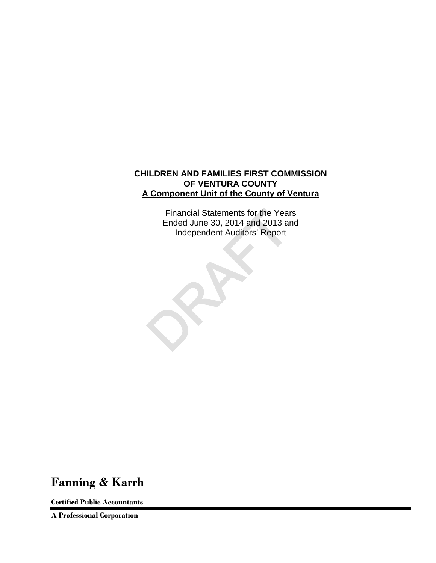# **CHILDREN AND FAMILIES FIRST COMMISSION OF VENTURA COUNTY A Component Unit of the County of Ventura**

Financial Statements for the Years<br>Ended June 30, 2014 and 2013 and<br>Independent Auditors' Report Financial Statements for the Years Ended June 30, 2014 and 2013 and Independent Auditors' Report

# **Fanning & Karrh**

**Certified Public Accountants**

**A Professional Corporation**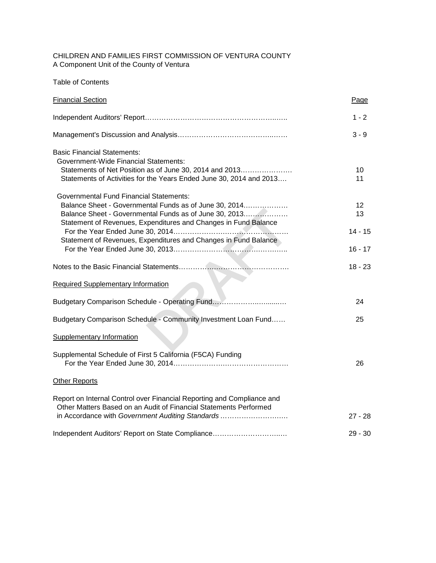# CHILDREN AND FAMILIES FIRST COMMISSION OF VENTURA COUNTY A Component Unit of the County of Ventura

| Table of Contents |  |
|-------------------|--|
|-------------------|--|

| <b>Financial Section</b>                                                                                                       | Page      |
|--------------------------------------------------------------------------------------------------------------------------------|-----------|
|                                                                                                                                | $1 - 2$   |
|                                                                                                                                | $3 - 9$   |
| <b>Basic Financial Statements:</b>                                                                                             |           |
| <b>Government-Wide Financial Statements:</b>                                                                                   |           |
| Statements of Net Position as of June 30, 2014 and 2013<br>Statements of Activities for the Years Ended June 30, 2014 and 2013 | 10<br>11  |
| <b>Governmental Fund Financial Statements:</b>                                                                                 |           |
| Balance Sheet - Governmental Funds as of June 30, 2014                                                                         | 12        |
| Balance Sheet - Governmental Funds as of June 30, 2013<br>Statement of Revenues, Expenditures and Changes in Fund Balance      | 13        |
|                                                                                                                                | 14 - 15   |
| Statement of Revenues, Expenditures and Changes in Fund Balance                                                                |           |
|                                                                                                                                | $16 - 17$ |
|                                                                                                                                | $18 - 23$ |
| <b>Required Supplementary Information</b>                                                                                      |           |
| Budgetary Comparison Schedule - Operating Fund                                                                                 | 24        |
| Budgetary Comparison Schedule - Community Investment Loan Fund                                                                 | 25        |
| <b>Supplementary Information</b>                                                                                               |           |
| Supplemental Schedule of First 5 California (F5CA) Funding                                                                     |           |
|                                                                                                                                | 26        |
| <b>Other Reports</b>                                                                                                           |           |
| Report on Internal Control over Financial Reporting and Compliance and                                                         |           |
| Other Matters Based on an Audit of Financial Statements Performed                                                              |           |
| in Accordance with Government Auditing Standards                                                                               | $27 - 28$ |
| Independent Auditors' Report on State Compliance                                                                               | $29 - 30$ |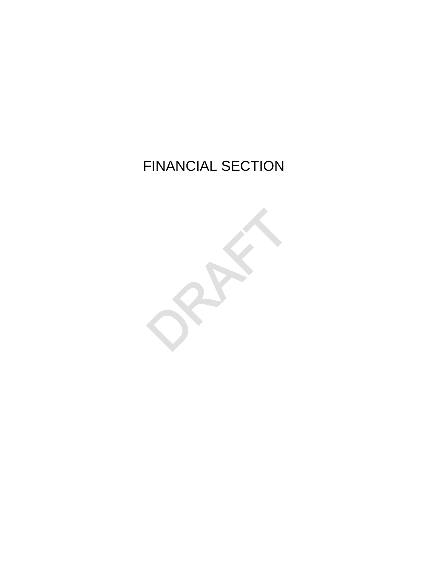# FINANCIAL SECTION

RAFTER ST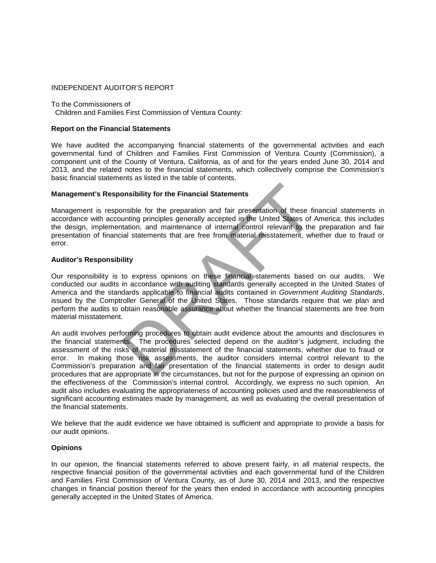#### INDEPENDENT AUDITOR'S REPORT

To the Commissioners of

Children and Families First Commission of Ventura County:

#### **Report on the Financial Statements**

We have audited the accompanying financial statements of the governmental activities and each governmental fund of Children and Families First Commission of Ventura County (Commission), a component unit of the County of Ventura, California, as of and for the years ended June 30, 2014 and 2013, and the related notes to the financial statements, which collectively comprise the Commission's basic financial statements as listed in the table of contents.

#### **Management's Responsibility for the Financial Statements**

Management is responsible for the preparation and fair presentation of these financial statements in accordance with accounting principles generally accepted in the United States of America; this includes the design, implementation, and maintenance of internal control relevant to the preparation and fair presentation of financial statements that are free from material misstatement, whether due to fraud or error.

#### **Auditor's Responsibility**

Our responsibility is to express opinions on these financial statements based on our audits. We conducted our audits in accordance with auditing standards generally accepted in the United States of America and the standards applicable to financial audits contained in *Government Auditing Standards*, issued by the Comptroller General of the United States. Those standards require that we plan and perform the audits to obtain reasonable assurance about whether the financial statements are free from material misstatement. **Solution** for the Financial Statements<br>
Solution and fair presentation of these fiunting principles generally accepted in the United States of *i*<br>
thation, and maintenance of internal control relevant to the<br>
ial stateme

An audit involves performing procedures to obtain audit evidence about the amounts and disclosures in the financial statements. The procedures selected depend on the auditor's judgment, including the assessment of the risks of material misstatement of the financial statements, whether due to fraud or error. In making those risk assessments, the auditor considers internal control relevant to the Commission's preparation and fair presentation of the financial statements in order to design audit procedures that are appropriate in the circumstances, but not for the purpose of expressing an opinion on the effectiveness of the Commission's internal control. Accordingly, we express no such opinion. An audit also includes evaluating the appropriateness of accounting policies used and the reasonableness of significant accounting estimates made by management, as well as evaluating the overall presentation of the financial statements.

We believe that the audit evidence we have obtained is sufficient and appropriate to provide a basis for our audit opinions.

#### **Opinions**

In our opinion, the financial statements referred to above present fairly, in all material respects, the respective financial position of the governmental activities and each governmental fund of the Children and Families First Commission of Ventura County, as of June 30, 2014 and 2013, and the respective changes in financial position thereof for the years then ended in accordance with accounting principles generally accepted in the United States of America.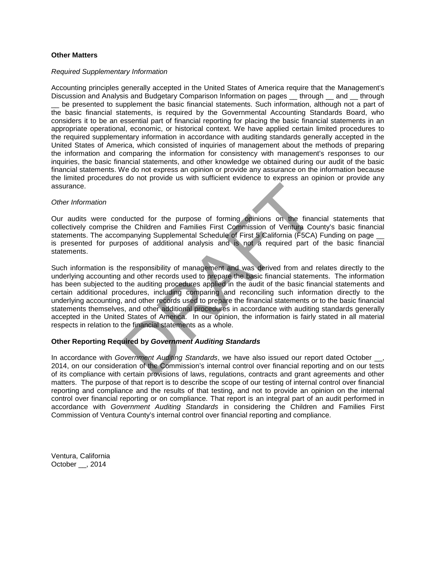#### **Other Matters**

#### *Required Supplementary Information*

Accounting principles generally accepted in the United States of America require that the Management's Discussion and Analysis and Budgetary Comparison Information on pages  $\_\_$  through  $\_\_$  and  $\_\_$  through be presented to supplement the basic financial statements. Such information, although not a part of the basic financial statements, is required by the Governmental Accounting Standards Board, who considers it to be an essential part of financial reporting for placing the basic financial statements in an appropriate operational, economic, or historical context. We have applied certain limited procedures to the required supplementary information in accordance with auditing standards generally accepted in the United States of America, which consisted of inquiries of management about the methods of preparing the information and comparing the information for consistency with management's responses to our inquiries, the basic financial statements, and other knowledge we obtained during our audit of the basic financial statements. We do not express an opinion or provide any assurance on the information because the limited procedures do not provide us with sufficient evidence to express an opinion or provide any assurance.

#### *Other Information*

Our audits were conducted for the purpose of forming opinions on the financial statements that collectively comprise the Children and Families First Commission of Ventura County's basic financial statements. The accompanying Supplemental Schedule of First 5 California (F5CA) Funding on page is presented for purposes of additional analysis and is not a required part of the basic financial statements.

Such information is the responsibility of management and was derived from and relates directly to the underlying accounting and other records used to prepare the basic financial statements. The information has been subjected to the auditing procedures applied in the audit of the basic financial statements and certain additional procedures, including comparing and reconciling such information directly to the underlying accounting, and other records used to prepare the financial statements or to the basic financial statements themselves, and other additional procedures in accordance with auditing standards generally accepted in the United States of America. In our opinion, the information is fairly stated in all material respects in relation to the financial statements as a whole. Motern devices of forming opinions on the final<br>the Children and Families First Commission of Ventura Companying Supplemental Schedule of First 5 California (F5CA<br>ooses of additional analysis and is not a required part of<br>

#### **Other Reporting Required by** *Government Auditing Standards*

In accordance with *Government Auditing Standards*, we have also issued our report dated October \_\_, 2014, on our consideration of the Commission's internal control over financial reporting and on our tests of its compliance with certain provisions of laws, regulations, contracts and grant agreements and other matters. The purpose of that report is to describe the scope of our testing of internal control over financial reporting and compliance and the results of that testing, and not to provide an opinion on the internal control over financial reporting or on compliance. That report is an integral part of an audit performed in accordance with *Government Auditing Standards* in considering the Children and Families First Commission of Ventura County's internal control over financial reporting and compliance.

Ventura, California October \_\_, 2014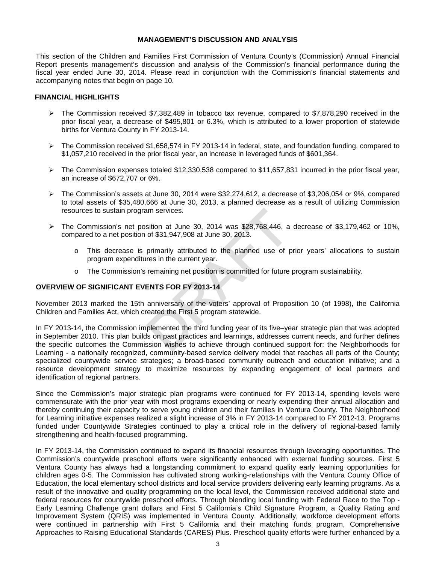#### **MANAGEMENT'S DISCUSSION AND ANALYSIS**

This section of the Children and Families First Commission of Ventura County's (Commission) Annual Financial Report presents management's discussion and analysis of the Commission's financial performance during the fiscal year ended June 30, 2014. Please read in conjunction with the Commission's financial statements and accompanying notes that begin on page 10.

#### **FINANCIAL HIGHLIGHTS**

- $\triangleright$  The Commission received \$7,382,489 in tobacco tax revenue, compared to \$7,878,290 received in the prior fiscal year, a decrease of \$495,801 or 6.3%, which is attributed to a lower proportion of statewide births for Ventura County in FY 2013-14.
- $\triangleright$  The Commission received \$1,658,574 in FY 2013-14 in federal, state, and foundation funding, compared to \$1,057,210 received in the prior fiscal year, an increase in leveraged funds of \$601,364.
- $\triangleright$  The Commission expenses totaled \$12,330,538 compared to \$11,657,831 incurred in the prior fiscal year, an increase of \$672,707 or 6%.
- $\triangleright$  The Commission's assets at June 30, 2014 were \$32,274,612, a decrease of \$3,206,054 or 9%, compared to total assets of \$35,480,666 at June 30, 2013, a planned decrease as a result of utilizing Commission resources to sustain program services.
- $\triangleright$  The Commission's net position at June 30, 2014 was \$28,768,446, a decrease of \$3,179,462 or 10%, compared to a net position of \$31,947,908 at June 30, 2013.
	- o This decrease is primarily attributed to the planned use of prior years' allocations to sustain program expenditures in the current year.
	- o The Commission's remaining net position is committed for future program sustainability.

# **OVERVIEW OF SIGNIFICANT EVENTS FOR FY 2013-14**

November 2013 marked the 15th anniversary of the voters' approval of Proposition 10 (of 1998), the California Children and Families Act, which created the First 5 program statewide.

im services.<br>
sition at June 30, 2014 was \$28,768,446, a de<br>
of \$31,947,908 at June 30, 2013.<br>
primarily attributed to the planned use of pric<br>
res in the current year.<br>
remaining net position is committed for future pro<br> In FY 2013-14, the Commission implemented the third funding year of its five–year strategic plan that was adopted in September 2010. This plan builds on past practices and learnings, addresses current needs, and further defines the specific outcomes the Commission wishes to achieve through continued support for: the Neighborhoods for Learning - a nationally recognized, community-based service delivery model that reaches all parts of the County; specialized countywide service strategies; a broad-based community outreach and education initiative; and a resource development strategy to maximize resources by expanding engagement of local partners and identification of regional partners.

Since the Commission's major strategic plan programs were continued for FY 2013-14, spending levels were commensurate with the prior year with most programs expending or nearly expending their annual allocation and thereby continuing their capacity to serve young children and their families in Ventura County. The Neighborhood for Learning initiative expenses realized a slight increase of 3% in FY 2013-14 compared to FY 2012-13. Programs funded under Countywide Strategies continued to play a critical role in the delivery of regional-based family strengthening and health-focused programming.

In FY 2013-14, the Commission continued to expand its financial resources through leveraging opportunities. The Commission's countywide preschool efforts were significantly enhanced with external funding sources. First 5 Ventura County has always had a longstanding commitment to expand quality early learning opportunities for children ages 0-5. The Commission has cultivated strong working-relationships with the Ventura County Office of Education, the local elementary school districts and local service providers delivering early learning programs. As a result of the innovative and quality programming on the local level, the Commission received additional state and federal resources for countywide preschool efforts. Through blending local funding with Federal Race to the Top - Early Learning Challenge grant dollars and First 5 California's Child Signature Program, a Quality Rating and Improvement System (QRIS) was implemented in Ventura County. Additionally, workforce development efforts were continued in partnership with First 5 California and their matching funds program, Comprehensive Approaches to Raising Educational Standards (CARES) Plus. Preschool quality efforts were further enhanced by a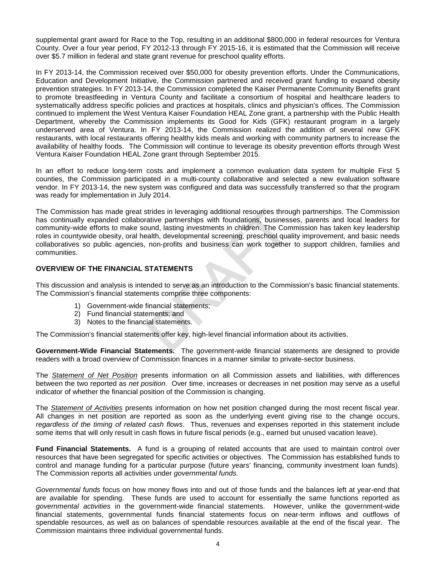supplemental grant award for Race to the Top, resulting in an additional \$800,000 in federal resources for Ventura County. Over a four year period, FY 2012-13 through FY 2015-16, it is estimated that the Commission will receive over \$5.7 million in federal and state grant revenue for preschool quality efforts.

In FY 2013-14, the Commission received over \$50,000 for obesity prevention efforts. Under the Communications, Education and Development Initiative, the Commission partnered and received grant funding to expand obesity prevention strategies. In FY 2013-14, the Commission completed the Kaiser Permanente Community Benefits grant to promote breastfeeding in Ventura County and facilitate a consortium of hospital and healthcare leaders to systematically address specific policies and practices at hospitals, clinics and physician's offices. The Commission continued to implement the West Ventura Kaiser Foundation HEAL Zone grant, a partnership with the Public Health Department, whereby the Commission implements its Good for Kids (GFK) restaurant program in a largely underserved area of Ventura. In FY 2013-14, the Commission realized the addition of several new GFK restaurants, with local restaurants offering healthy kids meals and working with community partners to increase the availability of healthy foods. The Commission will continue to leverage its obesity prevention efforts through West Ventura Kaiser Foundation HEAL Zone grant through September 2015.

In an effort to reduce long-term costs and implement a common evaluation data system for multiple First 5 counties, the Commission participated in a multi-county collaborative and selected a new evaluation software vendor. In FY 2013-14, the new system was configured and data was successfully transferred so that the program was ready for implementation in July 2014.

trides in leveraging additional resources through<br>ative partnerships with foundations, businesses<br>uund, lasting investments in children. The Comm<br>alth, developmental screening, preschool quality<br>non-profits and business ca The Commission has made great strides in leveraging additional resources through partnerships. The Commission has continually expanded collaborative partnerships with foundations, businesses, parents and local leaders for community-wide efforts to make sound, lasting investments in children. The Commission has taken key leadership roles in countywide obesity, oral health, developmental screening, preschool quality improvement, and basic needs collaboratives so public agencies, non-profits and business can work together to support children, families and communities.

# **OVERVIEW OF THE FINANCIAL STATEMENTS**

This discussion and analysis is intended to serve as an introduction to the Commission's basic financial statements. The Commission's financial statements comprise three components:

- 1) Government-wide financial statements;
- 2) Fund financial statements; and
- 3) Notes to the financial statements.

The Commission's financial statements offer key, high-level financial information about its activities.

**Government-Wide Financial Statements.** The government-wide financial statements are designed to provide readers with a broad overview of Commission finances in a manner similar to private-sector business.

The *Statement of Net Position* presents information on all Commission assets and liabilities, with differences between the two reported as *net position*. Over time, increases or decreases in net position may serve as a useful indicator of whether the financial position of the Commission is changing.

The *Statement of Activities* presents information on how net position changed during the most recent fiscal year. All changes in net position are reported as soon as the underlying event giving rise to the change occurs, *regardless of the timing of related cash flows*. Thus, revenues and expenses reported in this statement include some items that will only result in cash flows in future fiscal periods (e.g., earned but unused vacation leave).

**Fund Financial Statements.** A fund is a grouping of related accounts that are used to maintain control over resources that have been segregated for specific activities or objectives. The Commission has established funds to control and manage funding for a particular purpose (future years' financing, community investment loan funds). The Commission reports all activities under *governmental funds.*

*Governmental funds* focus on how money flows into and out of those funds and the balances left at year-end that are available for spending. These funds are used to account for essentially the same functions reported as *governmental activities* in the government-wide financial statements. However, unlike the government-wide financial statements, governmental funds financial statements focus on near-term inflows and outflows of spendable resources, as well as on balances of spendable resources available at the end of the fiscal year. The Commission maintains three individual governmental funds.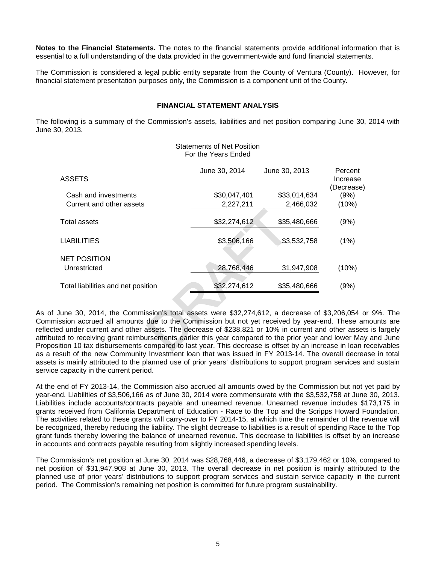**Notes to the Financial Statements.** The notes to the financial statements provide additional information that is essential to a full understanding of the data provided in the government-wide and fund financial statements.

The Commission is considered a legal public entity separate from the County of Ventura (County). However, for financial statement presentation purposes only, the Commission is a component unit of the County.

#### **FINANCIAL STATEMENT ANALYSIS**

The following is a summary of the Commission's assets, liabilities and net position comparing June 30, 2014 with June 30, 2013.

|                                                                                                                                                                                                                                                                                                                                                                                                                                                                                                  | <b>Statements of Net Position</b><br>For the Years Ended |               |                                   |
|--------------------------------------------------------------------------------------------------------------------------------------------------------------------------------------------------------------------------------------------------------------------------------------------------------------------------------------------------------------------------------------------------------------------------------------------------------------------------------------------------|----------------------------------------------------------|---------------|-----------------------------------|
| ASSETS                                                                                                                                                                                                                                                                                                                                                                                                                                                                                           | June 30, 2014                                            | June 30, 2013 | Percent<br>Increase<br>(Decrease) |
| Cash and investments                                                                                                                                                                                                                                                                                                                                                                                                                                                                             | \$30,047,401                                             | \$33,014,634  | (9%)                              |
| Current and other assets                                                                                                                                                                                                                                                                                                                                                                                                                                                                         | 2,227,211                                                | 2,466,032     | (10%)                             |
| Total assets                                                                                                                                                                                                                                                                                                                                                                                                                                                                                     | \$32,274,612                                             | \$35,480,666  | (9%)                              |
| <b>LIABILITIES</b>                                                                                                                                                                                                                                                                                                                                                                                                                                                                               | \$3,506,166                                              | \$3,532,758   | (1%)                              |
| <b>NET POSITION</b>                                                                                                                                                                                                                                                                                                                                                                                                                                                                              |                                                          |               |                                   |
| Unrestricted                                                                                                                                                                                                                                                                                                                                                                                                                                                                                     | 28,768,446                                               | 31,947,908    | (10%)                             |
| Total liabilities and net position                                                                                                                                                                                                                                                                                                                                                                                                                                                               | \$32,274,612                                             | \$35,480,666  | (9%)                              |
| une 30, 2014, the Commission's total assets were \$32,274,612, a decrease of \$3,206,054 c<br>ision accrued all amounts due to the Commission but not yet received by year-end. These ar<br>d under current and other assets. The decrease of \$238,821 or 10% in current and other asset<br>d to receiving grant reimbursements earlier this year compared to the prior year and lower May<br>tion 10 tax disbursements compared to last year. This decrease is offset by an increase in loan i |                                                          |               |                                   |

As of June 30, 2014, the Commission's total assets were \$32,274,612, a decrease of \$3,206,054 or 9%. The Commission accrued all amounts due to the Commission but not yet received by year-end. These amounts are reflected under current and other assets. The decrease of \$238,821 or 10% in current and other assets is largely attributed to receiving grant reimbursements earlier this year compared to the prior year and lower May and June Proposition 10 tax disbursements compared to last year. This decrease is offset by an increase in loan receivables as a result of the new Community Investment loan that was issued in FY 2013-14. The overall decrease in total assets is mainly attributed to the planned use of prior years' distributions to support program services and sustain service capacity in the current period.

At the end of FY 2013-14, the Commission also accrued all amounts owed by the Commission but not yet paid by year-end. Liabilities of \$3,506,166 as of June 30, 2014 were commensurate with the \$3,532,758 at June 30, 2013. Liabilities include accounts/contracts payable and unearned revenue. Unearned revenue includes \$173,175 in grants received from California Department of Education - Race to the Top and the Scripps Howard Foundation. The activities related to these grants will carry-over to FY 2014-15, at which time the remainder of the revenue will be recognized, thereby reducing the liability. The slight decrease to liabilities is a result of spending Race to the Top grant funds thereby lowering the balance of unearned revenue. This decrease to liabilities is offset by an increase in accounts and contracts payable resulting from slightly increased spending levels.

The Commission's net position at June 30, 2014 was \$28,768,446, a decrease of \$3,179,462 or 10%, compared to net position of \$31,947,908 at June 30, 2013. The overall decrease in net position is mainly attributed to the planned use of prior years' distributions to support program services and sustain service capacity in the current period. The Commission's remaining net position is committed for future program sustainability.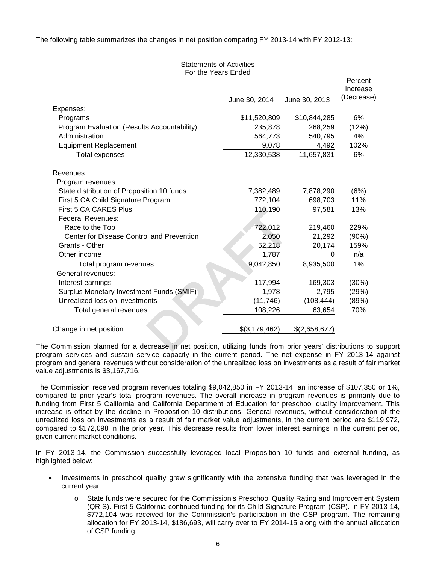The following table summarizes the changes in net position comparing FY 2013-14 with FY 2012-13:

#### Statements of Activities For the Years Ended

|                                             | June 30, 2014 | June 30, 2013 | Increase<br>(Decrease) |
|---------------------------------------------|---------------|---------------|------------------------|
| Expenses:                                   |               |               |                        |
| Programs                                    | \$11,520,809  | \$10,844,285  | 6%                     |
| Program Evaluation (Results Accountability) | 235,878       | 268,259       | (12%)                  |
| Administration                              | 564,773       | 540,795       | 4%                     |
| <b>Equipment Replacement</b>                | 9,078         | 4,492         | 102%                   |
| <b>Total expenses</b>                       | 12,330,538    | 11,657,831    | 6%                     |
| Revenues:                                   |               |               |                        |
| Program revenues:                           |               |               |                        |
| State distribution of Proposition 10 funds  | 7,382,489     | 7,878,290     | (6%)                   |
| First 5 CA Child Signature Program          | 772,104       | 698,703       | 11%                    |
| First 5 CA CARES Plus                       | 110,190       | 97,581        | 13%                    |
| <b>Federal Revenues:</b>                    |               |               |                        |
| Race to the Top                             | 722,012       | 219,460       | 229%                   |
| Center for Disease Control and Prevention   | 2,050         | 21,292        | (90%)                  |
| Grants - Other                              | 52,218        | 20,174        | 159%                   |
| Other income                                | 1,787         | 0             | n/a                    |
| Total program revenues                      | 9,042,850     | 8,935,500     | 1%                     |
| General revenues:                           |               |               |                        |
| Interest earnings                           | 117,994       | 169,303       | (30%)                  |
| Surplus Monetary Investment Funds (SMIF)    | 1,978         | 2,795         | (29%)                  |
| Unrealized loss on investments              | (11, 746)     | (108, 444)    | (89%)                  |
| Total general revenues                      | 108,226       | 63,654        | 70%                    |
| Change in net position                      | \$(3,179,462) | \$(2,658,677) |                        |

The Commission planned for a decrease in net position, utilizing funds from prior years' distributions to support program services and sustain service capacity in the current period. The net expense in FY 2013-14 against program and general revenues without consideration of the unrealized loss on investments as a result of fair market value adjustments is \$3,167,716.

The Commission received program revenues totaling \$9,042,850 in FY 2013-14, an increase of \$107,350 or 1%, compared to prior year's total program revenues. The overall increase in program revenues is primarily due to funding from First 5 California and California Department of Education for preschool quality improvement. This increase is offset by the decline in Proposition 10 distributions. General revenues, without consideration of the unrealized loss on investments as a result of fair market value adjustments, in the current period are \$119,972, compared to \$172,098 in the prior year. This decrease results from lower interest earnings in the current period, given current market conditions.

In FY 2013-14, the Commission successfully leveraged local Proposition 10 funds and external funding, as highlighted below:

- Investments in preschool quality grew significantly with the extensive funding that was leveraged in the current year:
	- o State funds were secured for the Commission's Preschool Quality Rating and Improvement System (QRIS). First 5 California continued funding for its Child Signature Program (CSP). In FY 2013-14, \$772,104 was received for the Commission's participation in the CSP program. The remaining allocation for FY 2013-14, \$186,693, will carry over to FY 2014-15 along with the annual allocation of CSP funding.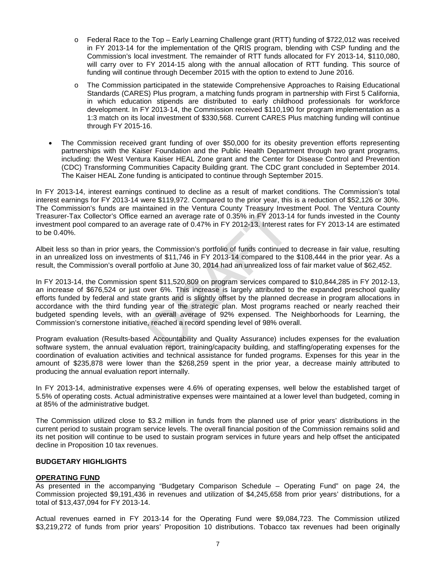- o Federal Race to the Top Early Learning Challenge grant (RTT) funding of \$722,012 was received in FY 2013-14 for the implementation of the QRIS program, blending with CSP funding and the Commission's local investment. The remainder of RTT funds allocated for FY 2013-14, \$110,080, will carry over to FY 2014-15 along with the annual allocation of RTT funding. This source of funding will continue through December 2015 with the option to extend to June 2016.
- o The Commission participated in the statewide Comprehensive Approaches to Raising Educational Standards (CARES) Plus program, a matching funds program in partnership with First 5 California, in which education stipends are distributed to early childhood professionals for workforce development. In FY 2013-14, the Commission received \$110,190 for program implementation as a 1:3 match on its local investment of \$330,568. Current CARES Plus matching funding will continue through FY 2015-16.
- The Commission received grant funding of over \$50,000 for its obesity prevention efforts representing partnerships with the Kaiser Foundation and the Public Health Department through two grant programs, including: the West Ventura Kaiser HEAL Zone grant and the Center for Disease Control and Prevention (CDC) Transforming Communities Capacity Building grant. The CDC grant concluded in September 2014. The Kaiser HEAL Zone funding is anticipated to continue through September 2015.

In FY 2013-14, interest earnings continued to decline as a result of market conditions. The Commission's total interest earnings for FY 2013-14 were \$119,972. Compared to the prior year, this is a reduction of \$52,126 or 30%. The Commission's funds are maintained in the Ventura County Treasury Investment Pool. The Ventura County Treasurer-Tax Collector's Office earned an average rate of 0.35% in FY 2013-14 for funds invested in the County investment pool compared to an average rate of 0.47% in FY 2012-13. Interest rates for FY 2013-14 are estimated to be 0.40%.

Albeit less so than in prior years, the Commission's portfolio of funds continued to decrease in fair value, resulting in an unrealized loss on investments of \$11,746 in FY 2013-14 compared to the \$108,444 in the prior year. As a result, the Commission's overall portfolio at June 30, 2014 had an unrealized loss of fair market value of \$62,452.

Interest in the ventura County Treasury investment<br>arned an average rate of 0.35% in FY 2013-14 f<br>verage rate of 0.47% in FY 2012-13. Interest rate<br>ne Commission's portfolio of funds continued to<br>the solution of \$11,746 in In FY 2013-14, the Commission spent \$11,520,809 on program services compared to \$10,844,285 in FY 2012-13, an increase of \$676,524 or just over 6%. This increase is largely attributed to the expanded preschool quality efforts funded by federal and state grants and is slightly offset by the planned decrease in program allocations in accordance with the third funding year of the strategic plan. Most programs reached or nearly reached their budgeted spending levels, with an overall average of 92% expensed. The Neighborhoods for Learning, the Commission's cornerstone initiative, reached a record spending level of 98% overall.

Program evaluation (Results-based Accountability and Quality Assurance) includes expenses for the evaluation software system, the annual evaluation report, training/capacity building, and staffing/operating expenses for the coordination of evaluation activities and technical assistance for funded programs. Expenses for this year in the amount of \$235,878 were lower than the \$268,259 spent in the prior year, a decrease mainly attributed to producing the annual evaluation report internally.

In FY 2013-14, administrative expenses were 4.6% of operating expenses, well below the established target of 5.5% of operating costs. Actual administrative expenses were maintained at a lower level than budgeted, coming in at 85% of the administrative budget.

The Commission utilized close to \$3.2 million in funds from the planned use of prior years' distributions in the current period to sustain program service levels. The overall financial position of the Commission remains solid and its net position will continue to be used to sustain program services in future years and help offset the anticipated decline in Proposition 10 tax revenues.

#### **BUDGETARY HIGHLIGHTS**

#### **OPERATING FUND**

As presented in the accompanying "Budgetary Comparison Schedule – Operating Fund" on page 24, the Commission projected \$9,191,436 in revenues and utilization of \$4,245,658 from prior years' distributions, for a total of \$13,437,094 for FY 2013-14.

Actual revenues earned in FY 2013-14 for the Operating Fund were \$9,084,723. The Commission utilized \$3,219,272 of funds from prior years' Proposition 10 distributions. Tobacco tax revenues had been originally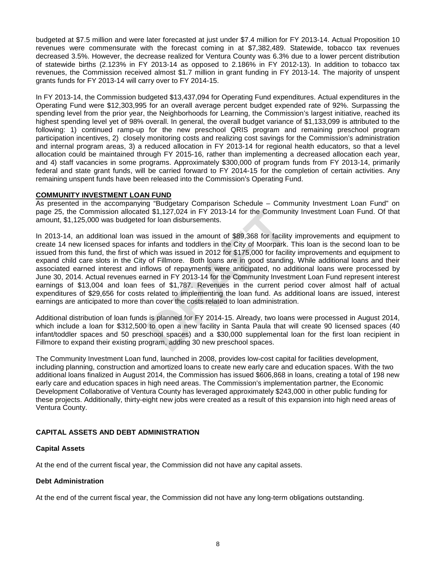budgeted at \$7.5 million and were later forecasted at just under \$7.4 million for FY 2013-14. Actual Proposition 10 revenues were commensurate with the forecast coming in at \$7,382,489. Statewide, tobacco tax revenues decreased 3.5%. However, the decrease realized for Ventura County was 6.3% due to a lower percent distribution of statewide births (2.123% in FY 2013-14 as opposed to 2.186% in FY 2012-13). In addition to tobacco tax revenues, the Commission received almost \$1.7 million in grant funding in FY 2013-14. The majority of unspent grants funds for FY 2013-14 will carry over to FY 2014-15.

In FY 2013-14, the Commission budgeted \$13,437,094 for Operating Fund expenditures. Actual expenditures in the Operating Fund were \$12,303,995 for an overall average percent budget expended rate of 92%. Surpassing the spending level from the prior year, the Neighborhoods for Learning, the Commission's largest initiative, reached its highest spending level yet of 98% overall. In general, the overall budget variance of \$1,133,099 is attributed to the following: 1) continued ramp-up for the new preschool QRIS program and remaining preschool program participation incentives, 2) closely monitoring costs and realizing cost savings for the Commission's administration and internal program areas, 3) a reduced allocation in FY 2013-14 for regional health educators, so that a level allocation could be maintained through FY 2015-16, rather than implementing a decreased allocation each year, and 4) staff vacancies in some programs. Approximately \$300,000 of program funds from FY 2013-14, primarily federal and state grant funds, will be carried forward to FY 2014-15 for the completion of certain activities. Any remaining unspent funds have been released into the Commission's Operating Fund.

# **COMMUNITY INVESTMENT LOAN FUND**

As presented in the accompanying "Budgetary Comparison Schedule – Community Investment Loan Fund" on page 25, the Commission allocated \$1,127,024 in FY 2013-14 for the Community Investment Loan Fund. Of that amount, \$1,125,000 was budgeted for loan disbursements.

d \$1,127,024 in FY 2013-14 for the Community<br>for loan disbursements.<br>s issued in the amount of \$89,368 for facility in<br>infants and toddlers in the City of Moorpark. Th<br>ich was issued in 2012 for \$175,000 for facility in<br>of In 2013-14, an additional loan was issued in the amount of \$89,368 for facility improvements and equipment to create 14 new licensed spaces for infants and toddlers in the City of Moorpark. This loan is the second loan to be issued from this fund, the first of which was issued in 2012 for \$175,000 for facility improvements and equipment to expand child care slots in the City of Fillmore. Both loans are in good standing. While additional loans and their associated earned interest and inflows of repayments were anticipated, no additional loans were processed by June 30, 2014. Actual revenues earned in FY 2013-14 for the Community Investment Loan Fund represent interest earnings of \$13,004 and loan fees of \$1,787. Revenues in the current period cover almost half of actual expenditures of \$29,656 for costs related to implementing the loan fund. As additional loans are issued, interest earnings are anticipated to more than cover the costs related to loan administration.

Additional distribution of loan funds is planned for FY 2014-15. Already, two loans were processed in August 2014, which include a loan for \$312,500 to open a new facility in Santa Paula that will create 90 licensed spaces (40 infant/toddler spaces and 50 preschool spaces) and a \$30,000 supplemental loan for the first loan recipient in Fillmore to expand their existing program, adding 30 new preschool spaces.

The Community Investment Loan fund, launched in 2008, provides low-cost capital for facilities development, including planning, construction and amortized loans to create new early care and education spaces. With the two additional loans finalized in August 2014, the Commission has issued \$606,868 in loans, creating a total of 198 new early care and education spaces in high need areas. The Commission's implementation partner, the Economic Development Collaborative of Ventura County has leveraged approximately \$243,000 in other public funding for these projects. Additionally, thirty-eight new jobs were created as a result of this expansion into high need areas of Ventura County.

# **CAPITAL ASSETS AND DEBT ADMINISTRATION**

#### **Capital Assets**

At the end of the current fiscal year, the Commission did not have any capital assets.

#### **Debt Administration**

At the end of the current fiscal year, the Commission did not have any long-term obligations outstanding.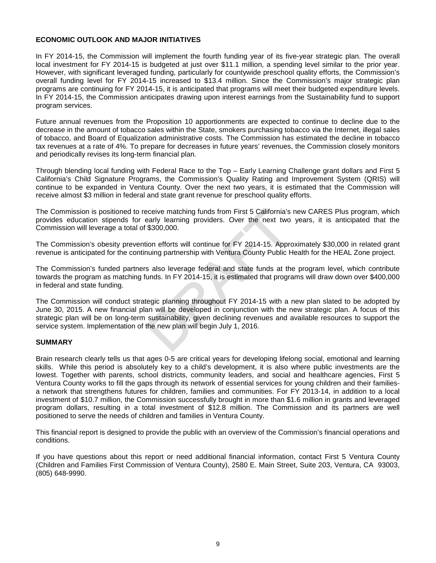### **ECONOMIC OUTLOOK AND MAJOR INITIATIVES**

In FY 2014-15, the Commission will implement the fourth funding year of its five-year strategic plan. The overall local investment for FY 2014-15 is budgeted at just over \$11.1 million, a spending level similar to the prior year. However, with significant leveraged funding, particularly for countywide preschool quality efforts, the Commission's overall funding level for FY 2014-15 increased to \$13.4 million. Since the Commission's major strategic plan programs are continuing for FY 2014-15, it is anticipated that programs will meet their budgeted expenditure levels. In FY 2014-15, the Commission anticipates drawing upon interest earnings from the Sustainability fund to support program services.

Future annual revenues from the Proposition 10 apportionments are expected to continue to decline due to the decrease in the amount of tobacco sales within the State, smokers purchasing tobacco via the Internet, illegal sales of tobacco, and Board of Equalization administrative costs. The Commission has estimated the decline in tobacco tax revenues at a rate of 4%. To prepare for decreases in future years' revenues, the Commission closely monitors and periodically revises its long-term financial plan.

Through blending local funding with Federal Race to the Top – Early Learning Challenge grant dollars and First 5 California's Child Signature Programs, the Commission's Quality Rating and Improvement System (QRIS) will continue to be expanded in Ventura County. Over the next two years, it is estimated that the Commission will receive almost \$3 million in federal and state grant revenue for preschool quality efforts.

The Commission is positioned to receive matching funds from First 5 California's new CARES Plus program, which provides education stipends for early learning providers. Over the next two years, it is anticipated that the Commission will leverage a total of \$300,000.

The Commission's obesity prevention efforts will continue for FY 2014-15. Approximately \$30,000 in related grant revenue is anticipated for the continuing partnership with Ventura County Public Health for the HEAL Zone project.

The Commission's funded partners also leverage federal and state funds at the program level, which contribute towards the program as matching funds. In FY 2014-15, it is estimated that programs will draw down over \$400,000 in federal and state funding.

exactive matching funds from First 5 California's nearly learning providers. Over the next two yer<br>\$300,000.<br>ion efforts will continue for FY 2014-15. Approxinuing partnership with Ventura County Public Hea<br>s also leverage The Commission will conduct strategic planning throughout FY 2014-15 with a new plan slated to be adopted by June 30, 2015. A new financial plan will be developed in conjunction with the new strategic plan. A focus of this strategic plan will be on long-term sustainability, given declining revenues and available resources to support the service system. Implementation of the new plan will begin July 1, 2016.

#### **SUMMARY**

Brain research clearly tells us that ages 0-5 are critical years for developing lifelong social, emotional and learning skills. While this period is absolutely key to a child's development, it is also where public investments are the lowest. Together with parents, school districts, community leaders, and social and healthcare agencies, First 5 Ventura County works to fill the gaps through its network of essential services for young children and their familiesa network that strengthens futures for children, families and communities. For FY 2013-14, in addition to a local investment of \$10.7 million, the Commission successfully brought in more than \$1.6 million in grants and leveraged program dollars, resulting in a total investment of \$12.8 million. The Commission and its partners are well positioned to serve the needs of children and families in Ventura County.

This financial report is designed to provide the public with an overview of the Commission's financial operations and conditions.

If you have questions about this report or need additional financial information, contact First 5 Ventura County (Children and Families First Commission of Ventura County), 2580 E. Main Street, Suite 203, Ventura, CA 93003, (805) 648-9990.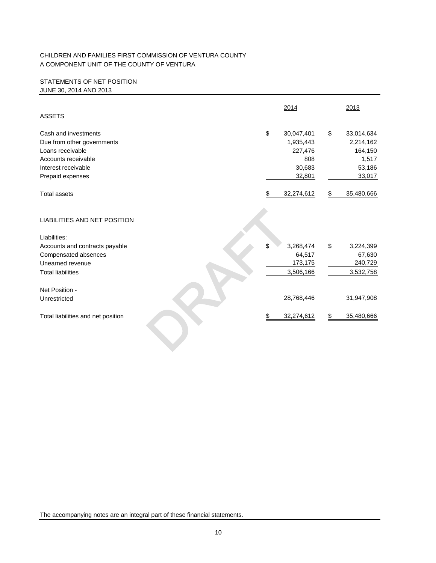#### STATEMENTS OF NET POSITION JUNE 30, 2014 AND 2013

| <b>ASSETS</b>                       | 2014             | 2013             |
|-------------------------------------|------------------|------------------|
|                                     |                  |                  |
| Cash and investments                | \$<br>30,047,401 | \$<br>33,014,634 |
| Due from other governments          | 1,935,443        | 2,214,162        |
| Loans receivable                    | 227,476          | 164,150          |
| Accounts receivable                 | 808              | 1,517            |
| Interest receivable                 | 30,683<br>32,801 | 53,186<br>33,017 |
| Prepaid expenses                    |                  |                  |
| <b>Total assets</b>                 | \$<br>32,274,612 | \$<br>35,480,666 |
|                                     |                  |                  |
| <b>LIABILITIES AND NET POSITION</b> |                  |                  |
| Liabilities:                        |                  |                  |
| Accounts and contracts payable      | \$<br>3,268,474  | \$<br>3,224,399  |
| Compensated absences                | 64,517           | 67,630           |
| Unearned revenue                    | 173,175          | 240,729          |
| <b>Total liabilities</b>            | 3,506,166        | 3,532,758        |
| Net Position -                      |                  |                  |
| Unrestricted                        | 28,768,446       | 31,947,908       |
| Total liabilities and net position  | \$<br>32,274,612 | \$<br>35,480,666 |
|                                     |                  |                  |
|                                     |                  |                  |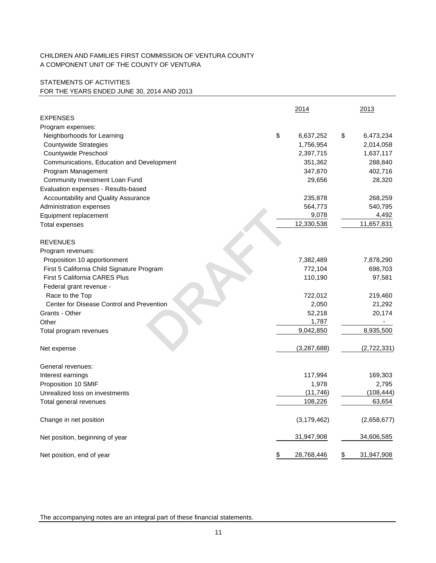# STATEMENTS OF ACTIVITIES FOR THE YEARS ENDED JUNE 30, 2014 AND 2013

|                                            | 2014             | 2013             |
|--------------------------------------------|------------------|------------------|
| <b>EXPENSES</b>                            |                  |                  |
| Program expenses:                          |                  |                  |
| Neighborhoods for Learning                 | \$<br>6,637,252  | \$<br>6,473,234  |
| <b>Countywide Strategies</b>               | 1,756,954        | 2,014,058        |
| Countywide Preschool                       | 2,397,715        | 1,637,117        |
| Communications, Education and Development  | 351,362          | 288,840          |
| Program Management                         | 347,870          | 402,716          |
| Community Investment Loan Fund             | 29,656           | 28,320           |
| Evaluation expenses - Results-based        |                  |                  |
| Accountability and Quality Assurance       | 235,878          | 268,259          |
| Administration expenses                    | 564,773          | 540,795          |
| Equipment replacement                      | 9,078            | 4,492            |
| Total expenses                             | 12,330,538       | 11,657,831       |
|                                            |                  |                  |
| <b>REVENUES</b>                            |                  |                  |
| Program revenues:                          |                  |                  |
| Proposition 10 apportionment               | 7,382,489        | 7,878,290        |
| First 5 California Child Signature Program | 772,104          | 698,703          |
| <b>First 5 California CARES Plus</b>       | 110,190          | 97,581           |
| Federal grant revenue -                    |                  |                  |
| Race to the Top                            | 722,012          | 219,460          |
| Center for Disease Control and Prevention  | 2,050            | 21,292           |
| Grants - Other                             | 52,218           | 20,174           |
| Other                                      | 1,787            |                  |
| Total program revenues                     | 9,042,850        | 8,935,500        |
| Net expense                                | (3, 287, 688)    | (2,722,331)      |
| General revenues:                          |                  |                  |
| Interest earnings                          | 117,994          | 169,303          |
| Proposition 10 SMIF                        | 1,978            | 2,795            |
| Unrealized loss on investments             | (11, 746)        | (108, 444)       |
| Total general revenues                     | 108,226          | 63,654           |
| Change in net position                     | (3, 179, 462)    | (2,658,677)      |
| Net position, beginning of year            | 31,947,908       | 34,606,585       |
| Net position, end of year                  | \$<br>28,768,446 | \$<br>31,947,908 |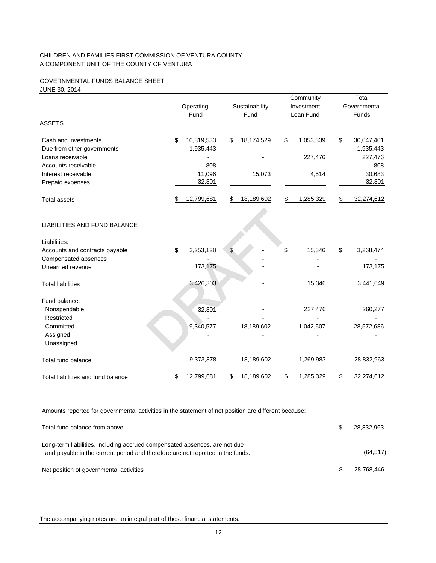#### GOVERNMENTAL FUNDS BALANCE SHEET JUNE 30, 2014

|                                     |    | Operating<br>Fund | Sustainability<br>Fund | Community<br>Investment<br>Loan Fund |           | Total<br>Governmental<br>Funds |            |
|-------------------------------------|----|-------------------|------------------------|--------------------------------------|-----------|--------------------------------|------------|
| <b>ASSETS</b>                       |    |                   |                        |                                      |           |                                |            |
| Cash and investments                | \$ | 10,819,533        | \$<br>18,174,529       | \$                                   | 1,053,339 | \$                             | 30,047,401 |
| Due from other governments          |    | 1,935,443         |                        |                                      |           |                                | 1,935,443  |
| Loans receivable                    |    |                   |                        |                                      | 227,476   |                                | 227,476    |
| Accounts receivable                 |    | 808               |                        |                                      |           |                                | 808        |
| Interest receivable                 |    | 11,096            | 15,073                 |                                      | 4,514     |                                | 30,683     |
| Prepaid expenses                    |    | 32,801            |                        |                                      |           |                                | 32,801     |
| <b>Total assets</b>                 | \$ | 12,799,681        | \$<br>18,189,602       | \$                                   | 1,285,329 | \$                             | 32,274,612 |
| <b>LIABILITIES AND FUND BALANCE</b> |    |                   |                        |                                      |           |                                |            |
| Liabilities:                        |    |                   |                        |                                      |           |                                |            |
| Accounts and contracts payable      | \$ | 3,253,128         | \$                     | \$                                   | 15,346    | \$                             | 3,268,474  |
| Compensated absences                |    |                   |                        |                                      |           |                                |            |
| Unearned revenue                    |    | 173,175           |                        |                                      |           |                                | 173,175    |
| <b>Total liabilities</b>            |    | 3,426,303         |                        |                                      | 15,346    |                                | 3,441,649  |
| Fund balance:                       |    |                   |                        |                                      |           |                                |            |
| Nonspendable                        |    | 32,801            |                        |                                      | 227,476   |                                | 260,277    |
| Restricted                          |    |                   |                        |                                      |           |                                |            |
| Committed                           |    | 9,340,577         | 18,189,602             |                                      | 1,042,507 |                                | 28,572,686 |
| Assigned                            |    |                   |                        |                                      |           |                                |            |
| Unassigned                          |    |                   |                        |                                      |           |                                |            |
| Total fund balance                  |    | 9,373,378         | 18,189,602             |                                      | 1,269,983 |                                | 28,832,963 |
| Total liabilities and fund balance  | \$ | 12,799,681        | \$<br>18,189,602       | \$                                   | 1,285,329 | \$                             | 32,274,612 |

Amounts reported for governmental activities in the statement of net position are different because:

| Total fund balance from above                                                                                                                                | 28.832.963 |
|--------------------------------------------------------------------------------------------------------------------------------------------------------------|------------|
| Long-term liabilities, including accrued compensated absences, are not due<br>and payable in the current period and therefore are not reported in the funds. | (64, 517)  |
| Net position of governmental activities                                                                                                                      | 28,768,446 |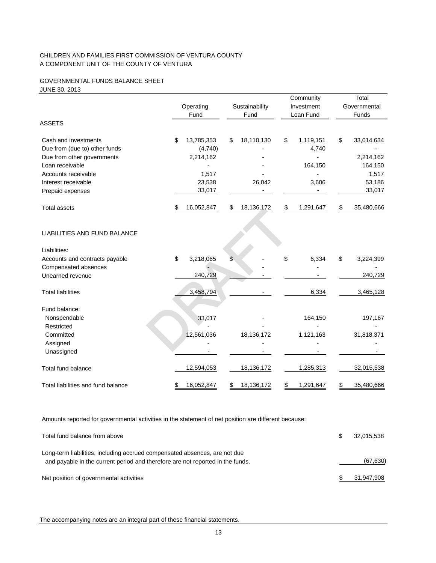#### GOVERNMENTAL FUNDS BALANCE SHEET JUNE 30, 2013

|                                     | Operating<br>Fund |                  | Sustainability<br>Fund |    | Community<br>Investment<br>Loan Fund |    |            | Total<br>Governmental<br>Funds |  |
|-------------------------------------|-------------------|------------------|------------------------|----|--------------------------------------|----|------------|--------------------------------|--|
| <b>ASSETS</b>                       |                   |                  |                        |    |                                      |    |            |                                |  |
| Cash and investments                | \$                | 13,785,353<br>\$ | 18,110,130             | \$ | 1,119,151                            | \$ | 33,014,634 |                                |  |
| Due from (due to) other funds       |                   | (4,740)          |                        |    | 4,740                                |    |            |                                |  |
| Due from other governments          |                   | 2,214,162        |                        |    |                                      |    | 2,214,162  |                                |  |
| Loan receivable                     |                   |                  |                        |    | 164,150                              |    | 164,150    |                                |  |
| Accounts receivable                 |                   | 1,517            |                        |    |                                      |    | 1,517      |                                |  |
| Interest receivable                 |                   | 23,538           | 26,042                 |    | 3,606                                |    | 53,186     |                                |  |
| Prepaid expenses                    |                   | 33,017           |                        |    |                                      |    | 33,017     |                                |  |
| <b>Total assets</b>                 | \$                | 16,052,847<br>\$ | 18,136,172             | \$ | 1,291,647                            | \$ | 35,480,666 |                                |  |
| <b>LIABILITIES AND FUND BALANCE</b> |                   |                  |                        |    |                                      |    |            |                                |  |
| Liabilities:                        |                   |                  |                        |    |                                      |    |            |                                |  |
| Accounts and contracts payable      | \$                | \$<br>3,218,065  |                        | \$ | 6,334                                | \$ | 3,224,399  |                                |  |
| Compensated absences                |                   |                  |                        |    |                                      |    |            |                                |  |
| Unearned revenue                    |                   | 240,729          |                        |    |                                      |    | 240,729    |                                |  |
| <b>Total liabilities</b>            |                   | 3,458,794        |                        |    | 6,334                                |    | 3,465,128  |                                |  |
| Fund balance:                       |                   |                  |                        |    |                                      |    |            |                                |  |
| Nonspendable                        |                   | 33,017           |                        |    | 164,150                              |    | 197,167    |                                |  |
| Restricted                          |                   |                  |                        |    |                                      |    |            |                                |  |
| Committed                           |                   | 12,561,036       | 18,136,172             |    | 1,121,163                            |    | 31,818,371 |                                |  |
| Assigned                            |                   |                  |                        |    |                                      |    |            |                                |  |
| Unassigned                          |                   |                  |                        |    |                                      |    |            |                                |  |
| Total fund balance                  |                   | 12,594,053       | 18,136,172             |    | 1,285,313                            |    | 32,015,538 |                                |  |
| Total liabilities and fund balance  | \$                | 16,052,847<br>\$ | 18,136,172             | \$ | 1,291,647                            | \$ | 35,480,666 |                                |  |

Amounts reported for governmental activities in the statement of net position are different because:

| Total fund balance from above                                                                                                                                | 32.015.538 |
|--------------------------------------------------------------------------------------------------------------------------------------------------------------|------------|
| Long-term liabilities, including accrued compensated absences, are not due<br>and payable in the current period and therefore are not reported in the funds. | (67, 630)  |
| Net position of governmental activities                                                                                                                      | 31,947,908 |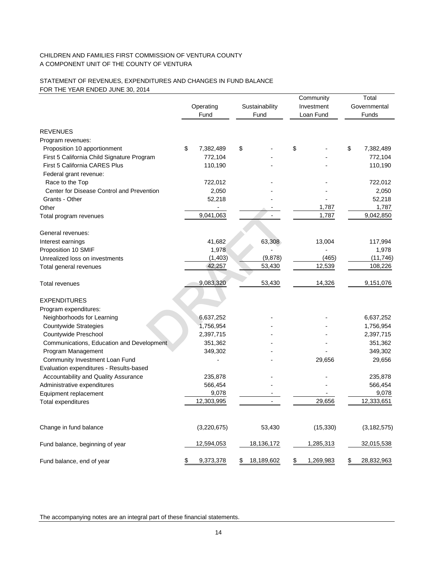#### STATEMENT OF REVENUES, EXPENDITURES AND CHANGES IN FUND BALANCE FOR THE YEAR ENDED JUNE 30, 2014

|                                            | Operating<br>Fund | Sustainability<br>Fund | Community<br>Investment<br>Loan Fund | Total<br>Governmental<br>Funds |
|--------------------------------------------|-------------------|------------------------|--------------------------------------|--------------------------------|
| <b>REVENUES</b>                            |                   |                        |                                      |                                |
| Program revenues:                          |                   |                        |                                      |                                |
| Proposition 10 apportionment               | \$<br>7,382,489   | \$                     | \$                                   | \$<br>7,382,489                |
| First 5 California Child Signature Program | 772,104           |                        |                                      | 772,104                        |
| First 5 California CARES Plus              | 110,190           |                        |                                      | 110,190                        |
| Federal grant revenue:                     |                   |                        |                                      |                                |
| Race to the Top                            | 722,012           |                        |                                      | 722,012                        |
| Center for Disease Control and Prevention  | 2,050             |                        |                                      | 2,050                          |
| Grants - Other                             | 52,218            |                        |                                      | 52,218                         |
| Other                                      |                   |                        | 1,787                                | 1,787                          |
| Total program revenues                     | 9,041,063         |                        | 1,787                                | 9,042,850                      |
| General revenues:                          |                   |                        |                                      |                                |
| Interest earnings                          | 41,682            | 63,308                 | 13,004                               | 117,994                        |
| Proposition 10 SMIF                        | 1,978             |                        |                                      | 1,978                          |
| Unrealized loss on investments             | (1, 403)          | (9,878)                | (465)                                | (11, 746)                      |
| Total general revenues                     | 42,257            | 53,430                 | 12,539                               | 108,226                        |
| <b>Total revenues</b>                      | 9,083,320         | 53,430                 | 14,326                               | 9,151,076                      |
| <b>EXPENDITURES</b>                        |                   |                        |                                      |                                |
| Program expenditures:                      |                   |                        |                                      |                                |
| Neighborhoods for Learning                 | 6,637,252         |                        |                                      | 6,637,252                      |
| Countywide Strategies                      | 1,756,954         |                        |                                      | 1,756,954                      |
| Countywide Preschool                       | 2,397,715         |                        |                                      | 2,397,715                      |
| Communications, Education and Development  | 351,362           |                        |                                      | 351,362                        |
| Program Management                         | 349,302           |                        |                                      | 349,302                        |
| Community Investment Loan Fund             |                   |                        | 29,656                               | 29,656                         |
| Evaluation expenditures - Results-based    |                   |                        |                                      |                                |
| Accountability and Quality Assurance       | 235,878           |                        |                                      | 235,878                        |
| Administrative expenditures                | 566,454           |                        |                                      | 566,454                        |
| Equipment replacement                      | 9,078             |                        |                                      | 9,078                          |
| Total expenditures                         | 12,303,995        |                        | 29,656                               | 12,333,651                     |
| Change in fund balance                     | (3,220,675)       | 53,430                 | (15, 330)                            | (3, 182, 575)                  |
| Fund balance, beginning of year            | 12,594,053        | 18,136,172             | 1,285,313                            | 32,015,538                     |
| Fund balance, end of year                  | \$<br>9,373,378   | \$<br>18,189,602       | \$<br>1,269,983                      | \$<br>28,832,963               |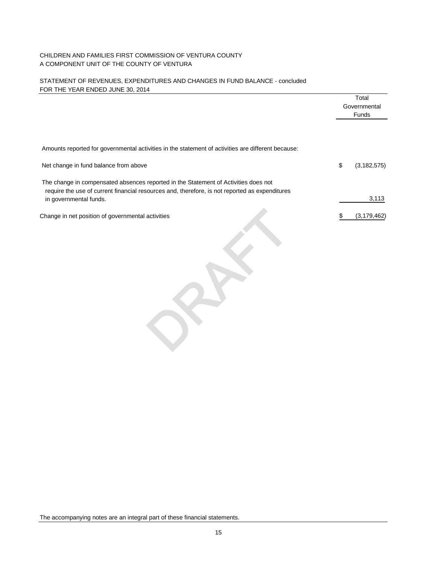#### STATEMENT OF REVENUES, EXPENDITURES AND CHANGES IN FUND BALANCE - concluded FOR THE YEAR ENDED JUNE 30, 2014

|                                                                                                                                                                                                                 | Total<br>Governmental<br>Funds |
|-----------------------------------------------------------------------------------------------------------------------------------------------------------------------------------------------------------------|--------------------------------|
| Amounts reported for governmental activities in the statement of activities are different because:                                                                                                              |                                |
| Net change in fund balance from above                                                                                                                                                                           | \$<br>(3, 182, 575)            |
| The change in compensated absences reported in the Statement of Activities does not<br>require the use of current financial resources and, therefore, is not reported as expenditures<br>in governmental funds. | 3,113                          |
| Change in net position of governmental activities                                                                                                                                                               | (3, 179, 462)                  |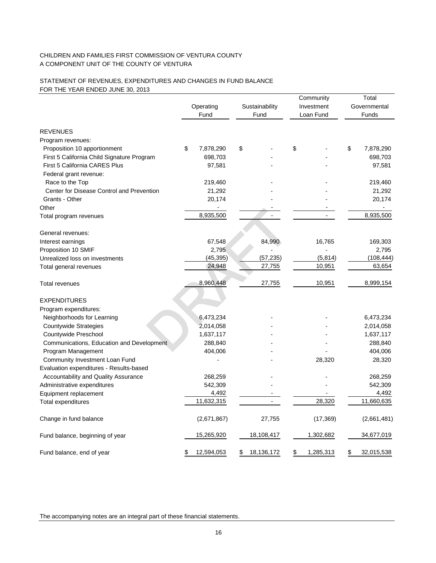#### STATEMENT OF REVENUES, EXPENDITURES AND CHANGES IN FUND BALANCE FOR THE YEAR ENDED JUNE 30, 2013

|                                            | Operating<br>Fund | Sustainability<br>Fund | Community<br>Investment<br>Loan Fund | Total<br>Governmental<br>Funds |
|--------------------------------------------|-------------------|------------------------|--------------------------------------|--------------------------------|
| <b>REVENUES</b>                            |                   |                        |                                      |                                |
| Program revenues:                          |                   |                        |                                      |                                |
| Proposition 10 apportionment               | \$<br>7,878,290   | \$                     | \$                                   | \$<br>7,878,290                |
| First 5 California Child Signature Program | 698,703           |                        |                                      | 698,703                        |
| First 5 California CARES Plus              | 97,581            |                        |                                      | 97,581                         |
| Federal grant revenue:                     |                   |                        |                                      |                                |
| Race to the Top                            | 219,460           |                        |                                      | 219,460                        |
| Center for Disease Control and Prevention  | 21,292            |                        |                                      | 21,292                         |
| Grants - Other                             | 20,174            |                        |                                      | 20,174                         |
| Other                                      |                   |                        |                                      |                                |
| Total program revenues                     | 8,935,500         |                        |                                      | 8,935,500                      |
| General revenues:                          |                   |                        |                                      |                                |
| Interest earnings                          | 67,548            | 84,990                 | 16,765                               | 169,303                        |
| Proposition 10 SMIF                        | 2,795             |                        |                                      | 2,795                          |
| Unrealized loss on investments             | (45, 395)         | (57, 235)              | (5,814)                              | (108, 444)                     |
| Total general revenues                     | 24,948            | 27,755                 | 10,951                               | 63,654                         |
| Total revenues                             | 8,960,448         | 27,755                 | 10,951                               | 8,999,154                      |
| <b>EXPENDITURES</b>                        |                   |                        |                                      |                                |
| Program expenditures:                      |                   |                        |                                      |                                |
| Neighborhoods for Learning                 | 6,473,234         |                        |                                      | 6,473,234                      |
| <b>Countywide Strategies</b>               | 2,014,058         |                        |                                      | 2,014,058                      |
| Countywide Preschool                       | 1,637,117         |                        |                                      | 1,637,117                      |
| Communications, Education and Development  | 288,840           |                        |                                      | 288,840                        |
| Program Management                         | 404,006           |                        |                                      | 404,006                        |
| Community Investment Loan Fund             |                   |                        | 28,320                               | 28,320                         |
| Evaluation expenditures - Results-based    |                   |                        |                                      |                                |
| Accountability and Quality Assurance       | 268,259           |                        |                                      | 268,259                        |
| Administrative expenditures                | 542,309           |                        |                                      | 542,309                        |
| Equipment replacement                      | 4,492             |                        |                                      | 4,492                          |
| Total expenditures                         | 11,632,315        |                        | 28,320                               | 11,660,635                     |
| Change in fund balance                     | (2,671,867)       | 27,755                 | (17, 369)                            | (2,661,481)                    |
| Fund balance, beginning of year            | 15,265,920        | 18,108,417             | 1,302,682                            | 34,677,019                     |
| Fund balance, end of year                  | \$<br>12,594,053  | \$<br>18,136,172       | \$<br>1,285,313                      | \$<br>32,015,538               |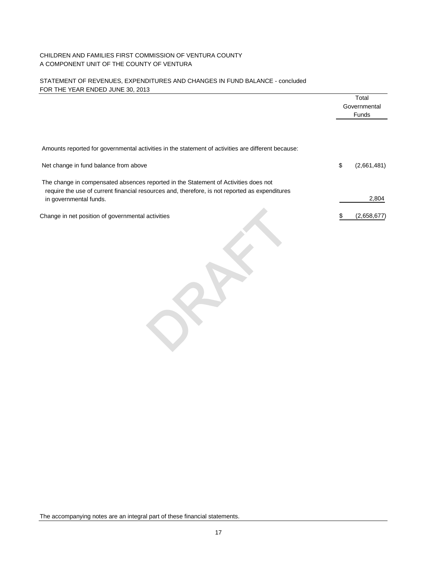#### STATEMENT OF REVENUES, EXPENDITURES AND CHANGES IN FUND BALANCE - concluded FOR THE YEAR ENDED JUNE 30, 2013

|                                                                                                                                                                                                                 | Total<br>Governmental<br>Funds |
|-----------------------------------------------------------------------------------------------------------------------------------------------------------------------------------------------------------------|--------------------------------|
| Amounts reported for governmental activities in the statement of activities are different because:                                                                                                              |                                |
| Net change in fund balance from above                                                                                                                                                                           | \$<br>(2,661,481)              |
| The change in compensated absences reported in the Statement of Activities does not<br>require the use of current financial resources and, therefore, is not reported as expenditures<br>in governmental funds. | 2,804                          |
| Change in net position of governmental activities                                                                                                                                                               | (2,658,677)                    |
|                                                                                                                                                                                                                 |                                |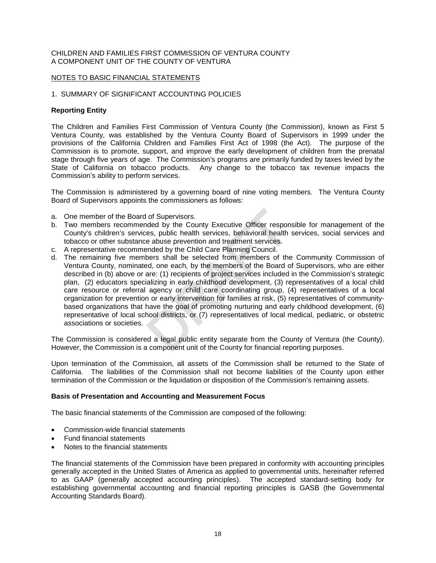# CHILDREN AND FAMILIES FIRST COMMISSION OF VENTURA COUNTY A COMPONENT UNIT OF THE COUNTY OF VENTURA

#### NOTES TO BASIC FINANCIAL STATEMENTS

# 1. SUMMARY OF SIGNIFICANT ACCOUNTING POLICIES

# **Reporting Entity**

The Children and Families First Commission of Ventura County (the Commission), known as First 5 Ventura County, was established by the Ventura County Board of Supervisors in 1999 under the provisions of the California Children and Families First Act of 1998 (the Act). The purpose of the Commission is to promote, support, and improve the early development of children from the prenatal stage through five years of age. The Commission's programs are primarily funded by taxes levied by the State of California on tobacco products. Any change to the tobacco tax revenue impacts the Commission's ability to perform services.

The Commission is administered by a governing board of nine voting members. The Ventura County Board of Supervisors appoints the commissioners as follows:

- a. One member of the Board of Supervisors.
- b. Two members recommended by the County Executive Officer responsible for management of the County's children's services, public health services, behavioral health services, social services and tobacco or other substance abuse prevention and treatment services.
- c. A representative recommended by the Child Care Planning Council.
- of Supervisors.<br>
ded by the County Executive Officer responsibes, public health services, behavioral health se<br>
e abuse prevention and treatment services.<br>
Inded by the Child Care Planning Council.<br>
Ders shall be selected d. The remaining five members shall be selected from members of the Community Commission of Ventura County, nominated, one each, by the members of the Board of Supervisors, who are either described in (b) above or are: (1) recipients of project services included in the Commission's strategic plan, (2) educators specializing in early childhood development, (3) representatives of a local child care resource or referral agency or child care coordinating group, (4) representatives of a local organization for prevention or early intervention for families at risk, (5) representatives of communitybased organizations that have the goal of promoting nurturing and early childhood development, (6) representative of local school districts, or (7) representatives of local medical, pediatric, or obstetric associations or societies.

The Commission is considered a legal public entity separate from the County of Ventura (the County). However, the Commission is a component unit of the County for financial reporting purposes.

Upon termination of the Commission, all assets of the Commission shall be returned to the State of California. The liabilities of the Commission shall not become liabilities of the County upon either termination of the Commission or the liquidation or disposition of the Commission's remaining assets.

#### **Basis of Presentation and Accounting and Measurement Focus**

The basic financial statements of the Commission are composed of the following:

- Commission-wide financial statements
- Fund financial statements
- Notes to the financial statements

The financial statements of the Commission have been prepared in conformity with accounting principles generally accepted in the United States of America as applied to governmental units, hereinafter referred to as GAAP (generally accepted accounting principles). The accepted standard-setting body for establishing governmental accounting and financial reporting principles is GASB (the Governmental Accounting Standards Board).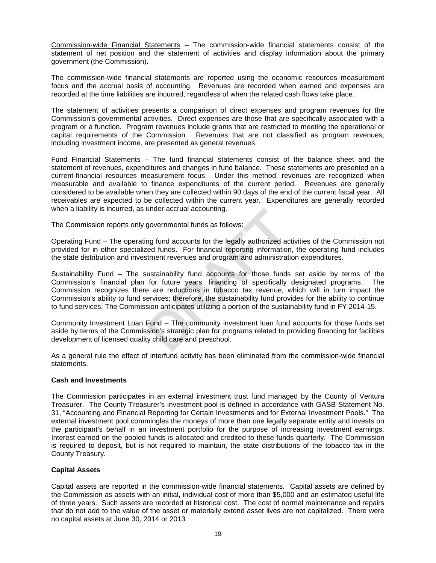Commission-wide Financial Statements – The commission-wide financial statements consist of the statement of net position and the statement of activities and display information about the primary government (the Commission).

The commission-wide financial statements are reported using the economic resources measurement focus and the accrual basis of accounting. Revenues are recorded when earned and expenses are recorded at the time liabilities are incurred, regardless of when the related cash flows take place.

The statement of activities presents a comparison of direct expenses and program revenues for the Commission's governmental activities. Direct expenses are those that are specifically associated with a program or a function. Program revenues include grants that are restricted to meeting the operational or capital requirements of the Commission. Revenues that are not classified as program revenues, including investment income, are presented as general revenues.

Fund Financial Statements – The fund financial statements consist of the balance sheet and the statement of revenues, expenditures and changes in fund balance. These statements are presented on a current-financial resources measurement focus. Under this method, revenues are recognized when measurable and available to finance expenditures of the current period. Revenues are generally considered to be available when they are collected within 90 days of the end of the current fiscal year. All receivables are expected to be collected within the current year. Expenditures are generally recorded when a liability is incurred, as under accrual accounting.

The Commission reports only governmental funds as follows:

Operating Fund – The operating fund accounts for the legally authorized activities of the Commission not provided for in other specialized funds. For financial reporting information, the operating fund includes the state distribution and investment revenues and program and administration expenditures.

governmental funds as follows:<br>governmental funds as follows:<br>ng fund accounts for the legally authorized activi<br>ed funds. For financial reporting information, the<br>timent revenues and program and administration<br>ustainabili Sustainability Fund – The sustainability fund accounts for those funds set aside by terms of the Commission's financial plan for future years' financing of specifically designated programs. The Commission recognizes there are reductions in tobacco tax revenue, which will in turn impact the Commission's ability to fund services; therefore, the sustainability fund provides for the ability to continue to fund services. The Commission anticipates utilizing a portion of the sustainability fund in FY 2014-15.

Community Investment Loan Fund – The community investment loan fund accounts for those funds set aside by terms of the Commission's strategic plan for programs related to providing financing for facilities development of licensed quality child care and preschool.

As a general rule the effect of interfund activity has been eliminated from the commission-wide financial statements.

#### **Cash and Investments**

The Commission participates in an external investment trust fund managed by the County of Ventura Treasurer. The County Treasurer's investment pool is defined in accordance with GASB Statement No. 31, "Accounting and Financial Reporting for Certain Investments and for External Investment Pools." The external investment pool commingles the moneys of more than one legally separate entity and invests on the participant's behalf in an investment portfolio for the purpose of increasing investment earnings. Interest earned on the pooled funds is allocated and credited to these funds quarterly. The Commission is required to deposit, but is not required to maintain, the state distributions of the tobacco tax in the County Treasury.

#### **Capital Assets**

Capital assets are reported in the commission-wide financial statements. Capital assets are defined by the Commission as assets with an initial, individual cost of more than \$5,000 and an estimated useful life of three years. Such assets are recorded at historical cost. The cost of normal maintenance and repairs that do not add to the value of the asset or materially extend asset lives are not capitalized. There were no capital assets at June 30, 2014 or 2013.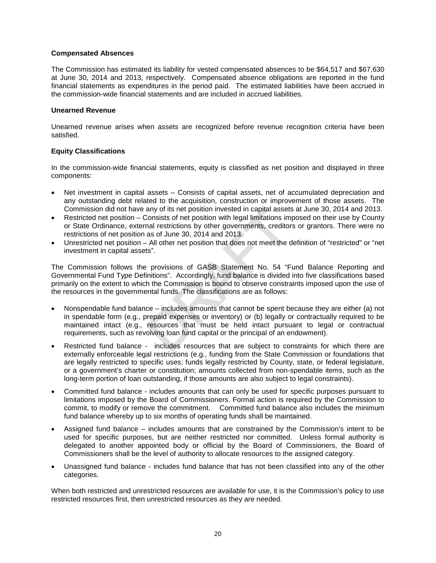#### **Compensated Absences**

The Commission has estimated its liability for vested compensated absences to be \$64,517 and \$67,630 at June 30, 2014 and 2013, respectively. Compensated absence obligations are reported in the fund financial statements as expenditures in the period paid. The estimated liabilities have been accrued in the commission-wide financial statements and are included in accrued liabilities.

# **Unearned Revenue**

Unearned revenue arises when assets are recognized before revenue recognition criteria have been satisfied.

# **Equity Classifications**

In the commission-wide financial statements, equity is classified as net position and displayed in three components:

- Net investment in capital assets Consists of capital assets, net of accumulated depreciation and any outstanding debt related to the acquisition, construction or improvement of those assets. The Commission did not have any of its net position invested in capital assets at June 30, 2014 and 2013.
- Restricted net position Consists of net position with legal limitations imposed on their use by County or State Ordinance, external restrictions by other governments, creditors or grantors. There were no restrictions of net position as of June 30, 2014 and 2013.
- Unrestricted net position All other net position that does not meet the definition of "restricted" or "net investment in capital assets".

The Commission follows the provisions of GASB Statement No. 54 "Fund Balance Reporting and Governmental Fund Type Definitions". Accordingly, fund balance is divided into five classifications based primarily on the extent to which the Commission is bound to observe constraints imposed upon the use of the resources in the governmental funds. The classifications are as follows:

- any of its net position invested in capital assets a<br>consists of net position with legal limitations impo<br>al restrictions by other governments, creditors of<br>as of June 30, 2014 and 2013.<br>All other net position that does no Nonspendable fund balance – includes amounts that cannot be spent because they are either (a) not in spendable form (e.g., prepaid expenses or inventory) or (b) legally or contractually required to be maintained intact (e.g., resources that must be held intact pursuant to legal or contractual requirements, such as revolving loan fund capital or the principal of an endowment).
- Restricted fund balance includes resources that are subject to constraints for which there are externally enforceable legal restrictions (e.g., funding from the State Commission or foundations that are legally restricted to specific uses; funds legally restricted by County, state, or federal legislature, or a government's charter or constitution; amounts collected from non-spendable items, such as the long-term portion of loan outstanding, if those amounts are also subject to legal constraints).
- Committed fund balance includes amounts that can only be used for specific purposes pursuant to limitations imposed by the Board of Commissioners. Formal action is required by the Commission to commit, to modify or remove the commitment. Committed fund balance also includes the minimum fund balance whereby up to six months of operating funds shall be maintained.
- Assigned fund balance includes amounts that are constrained by the Commission's intent to be used for specific purposes, but are neither restricted nor committed. Unless formal authority is delegated to another appointed body or official by the Board of Commissioners, the Board of Commissioners shall be the level of authority to allocate resources to the assigned category.
- Unassigned fund balance includes fund balance that has not been classified into any of the other categories.

When both restricted and unrestricted resources are available for use, it is the Commission's policy to use restricted resources first, then unrestricted resources as they are needed.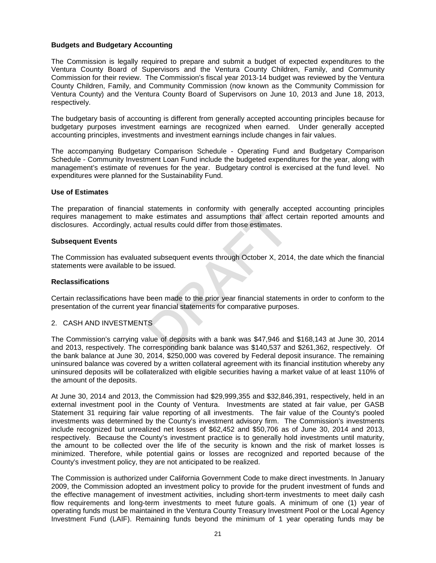### **Budgets and Budgetary Accounting**

The Commission is legally required to prepare and submit a budget of expected expenditures to the Ventura County Board of Supervisors and the Ventura County Children, Family, and Community Commission for their review. The Commission's fiscal year 2013-14 budget was reviewed by the Ventura County Children, Family, and Community Commission (now known as the Community Commission for Ventura County) and the Ventura County Board of Supervisors on June 10, 2013 and June 18, 2013, respectively.

The budgetary basis of accounting is different from generally accepted accounting principles because for budgetary purposes investment earnings are recognized when earned. Under generally accepted accounting principles, investments and investment earnings include changes in fair values.

The accompanying Budgetary Comparison Schedule - Operating Fund and Budgetary Comparison Schedule - Community Investment Loan Fund include the budgeted expenditures for the year, along with management's estimate of revenues for the year. Budgetary control is exercised at the fund level. No expenditures were planned for the Sustainability Fund.

#### **Use of Estimates**

statements in conformity with generally acceptive estimates and assumptions that affect certains results could differ from those estimates.<br>
A distributed subsequent events through October X, 2014, the issued.<br>
Been made t The preparation of financial statements in conformity with generally accepted accounting principles requires management to make estimates and assumptions that affect certain reported amounts and disclosures. Accordingly, actual results could differ from those estimates.

#### **Subsequent Events**

The Commission has evaluated subsequent events through October X, 2014, the date which the financial statements were available to be issued.

#### **Reclassifications**

Certain reclassifications have been made to the prior year financial statements in order to conform to the presentation of the current year financial statements for comparative purposes.

#### 2. CASH AND INVESTMENTS

The Commission's carrying value of deposits with a bank was \$47,946 and \$168,143 at June 30, 2014 and 2013, respectively. The corresponding bank balance was \$140,537 and \$261,362, respectively. Of the bank balance at June 30, 2014, \$250,000 was covered by Federal deposit insurance. The remaining uninsured balance was covered by a written collateral agreement with its financial institution whereby any uninsured deposits will be collateralized with eligible securities having a market value of at least 110% of the amount of the deposits.

At June 30, 2014 and 2013, the Commission had \$29,999,355 and \$32,846,391, respectively, held in an external investment pool in the County of Ventura. Investments are stated at fair value, per GASB Statement 31 requiring fair value reporting of all investments. The fair value of the County's pooled investments was determined by the County's investment advisory firm. The Commission's investments include recognized but unrealized net losses of \$62,452 and \$50,706 as of June 30, 2014 and 2013, respectively. Because the County's investment practice is to generally hold investments until maturity, the amount to be collected over the life of the security is known and the risk of market losses is minimized. Therefore, while potential gains or losses are recognized and reported because of the County's investment policy, they are not anticipated to be realized.

The Commission is authorized under California Government Code to make direct investments. In January 2009, the Commission adopted an investment policy to provide for the prudent investment of funds and the effective management of investment activities, including short-term investments to meet daily cash flow requirements and long-term investments to meet future goals. A minimum of one (1) year of operating funds must be maintained in the Ventura County Treasury Investment Pool or the Local Agency Investment Fund (LAIF). Remaining funds beyond the minimum of 1 year operating funds may be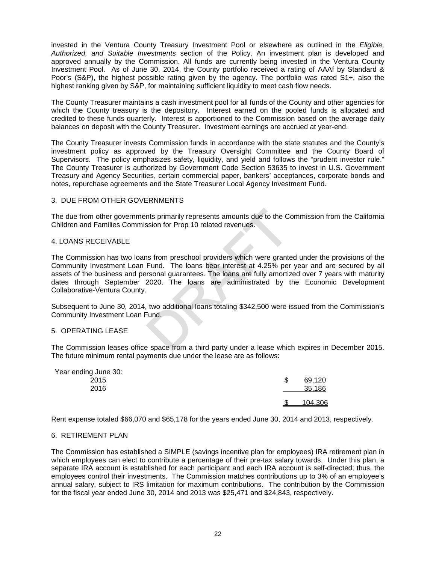invested in the Ventura County Treasury Investment Pool or elsewhere as outlined in the *Eligible, Authorized, and Suitable Investments* section of the Policy. An investment plan is developed and approved annually by the Commission. All funds are currently being invested in the Ventura County Investment Pool. As of June 30, 2014, the County portfolio received a rating of AAAf by Standard & Poor's (S&P), the highest possible rating given by the agency. The portfolio was rated S1+, also the highest ranking given by S&P, for maintaining sufficient liquidity to meet cash flow needs.

The County Treasurer maintains a cash investment pool for all funds of the County and other agencies for which the County treasury is the depository. Interest earned on the pooled funds is allocated and credited to these funds quarterly. Interest is apportioned to the Commission based on the average daily balances on deposit with the County Treasurer. Investment earnings are accrued at year-end.

The County Treasurer invests Commission funds in accordance with the state statutes and the County's investment policy as approved by the Treasury Oversight Committee and the County Board of Supervisors. The policy emphasizes safety, liquidity, and yield and follows the "prudent investor rule." The County Treasurer is authorized by Government Code Section 53635 to invest in U.S. Government Treasury and Agency Securities, certain commercial paper, bankers' acceptances, corporate bonds and notes, repurchase agreements and the State Treasurer Local Agency Investment Fund.

# 3. DUE FROM OTHER GOVERNMENTS

The due from other governments primarily represents amounts due to the Commission from the California Children and Families Commission for Prop 10 related revenues.

# 4. LOANS RECEIVABLE

nts primarily represents amounts due to the Com<br>sion for Prop 10 related revenues.<br><br>In the form preschool providers which were granted<br>Fund. The loans bear interest at 4.25% per yer<br>sonal guarantees. The loans are fully am The Commission has two loans from preschool providers which were granted under the provisions of the Community Investment Loan Fund. The loans bear interest at 4.25% per year and are secured by all assets of the business and personal guarantees. The loans are fully amortized over 7 years with maturity dates through September 2020. The loans are administrated by the Economic Development Collaborative-Ventura County.

Subsequent to June 30, 2014, two additional loans totaling \$342,500 were issued from the Commission's Community Investment Loan Fund.

#### 5. OPERATING LEASE

The Commission leases office space from a third party under a lease which expires in December 2015. The future minimum rental payments due under the lease are as follows:

| Year ending June 30: |              |
|----------------------|--------------|
| 2015                 | \$<br>69,120 |
| 2016                 | 35,186       |
|                      | 104,306      |

Rent expense totaled \$66,070 and \$65,178 for the years ended June 30, 2014 and 2013, respectively.

#### 6. RETIREMENT PLAN

The Commission has established a SIMPLE (savings incentive plan for employees) IRA retirement plan in which employees can elect to contribute a percentage of their pre-tax salary towards. Under this plan, a separate IRA account is established for each participant and each IRA account is self-directed; thus, the employees control their investments. The Commission matches contributions up to 3% of an employee's annual salary, subject to IRS limitation for maximum contributions. The contribution by the Commission for the fiscal year ended June 30, 2014 and 2013 was \$25,471 and \$24,843, respectively.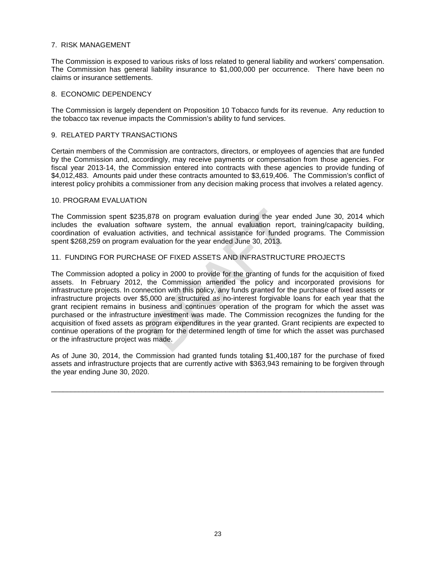#### 7. RISK MANAGEMENT

The Commission is exposed to various risks of loss related to general liability and workers' compensation. The Commission has general liability insurance to \$1,000,000 per occurrence. There have been no claims or insurance settlements.

#### 8. ECONOMIC DEPENDENCY

The Commission is largely dependent on Proposition 10 Tobacco funds for its revenue. Any reduction to the tobacco tax revenue impacts the Commission's ability to fund services.

# 9. RELATED PARTY TRANSACTIONS

Certain members of the Commission are contractors, directors, or employees of agencies that are funded by the Commission and, accordingly, may receive payments or compensation from those agencies. For fiscal year 2013-14, the Commission entered into contracts with these agencies to provide funding of \$4,012,483. Amounts paid under these contracts amounted to \$3,619,406. The Commission's conflict of interest policy prohibits a commissioner from any decision making process that involves a related agency.

#### 10. PROGRAM EVALUATION

The Commission spent \$235,878 on program evaluation during the year ended June 30, 2014 which includes the evaluation software system, the annual evaluation report, training/capacity building, coordination of evaluation activities, and technical assistance for funded programs. The Commission spent \$268,259 on program evaluation for the year ended June 30, 2013.

### 11. FUNDING FOR PURCHASE OF FIXED ASSETS AND INFRASTRUCTURE PROJECTS

878 on program evaluation during the year en ware system, the annual evaluation report, tivities, and technical assistance for funded praluation for the year ended June 30, 2013.<br>SE OF FIXED ASSETS AND INFRASTRUCTUR olicy The Commission adopted a policy in 2000 to provide for the granting of funds for the acquisition of fixed assets. In February 2012, the Commission amended the policy and incorporated provisions for infrastructure projects. In connection with this policy, any funds granted for the purchase of fixed assets or infrastructure projects over \$5,000 are structured as no-interest forgivable loans for each year that the grant recipient remains in business and continues operation of the program for which the asset was purchased or the infrastructure investment was made. The Commission recognizes the funding for the acquisition of fixed assets as program expenditures in the year granted. Grant recipients are expected to continue operations of the program for the determined length of time for which the asset was purchased or the infrastructure project was made.

As of June 30, 2014, the Commission had granted funds totaling \$1,400,187 for the purchase of fixed assets and infrastructure projects that are currently active with \$363,943 remaining to be forgiven through the year ending June 30, 2020.

\_\_\_\_\_\_\_\_\_\_\_\_\_\_\_\_\_\_\_\_\_\_\_\_\_\_\_\_\_\_\_\_\_\_\_\_\_\_\_\_\_\_\_\_\_\_\_\_\_\_\_\_\_\_\_\_\_\_\_\_\_\_\_\_\_\_\_\_\_\_\_\_\_\_\_\_\_\_\_\_\_\_\_\_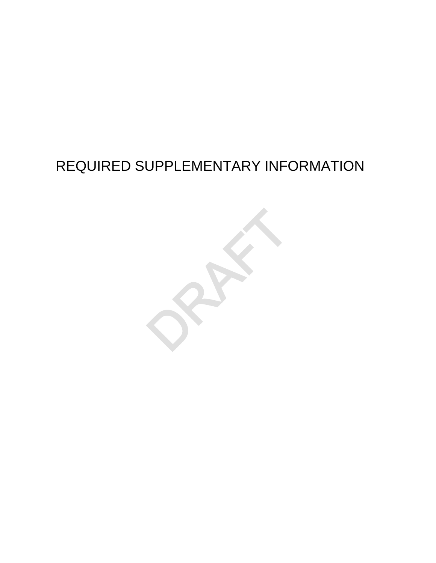# REQUIRED SUPPLEMENTARY INFORMATION

RAFTER ST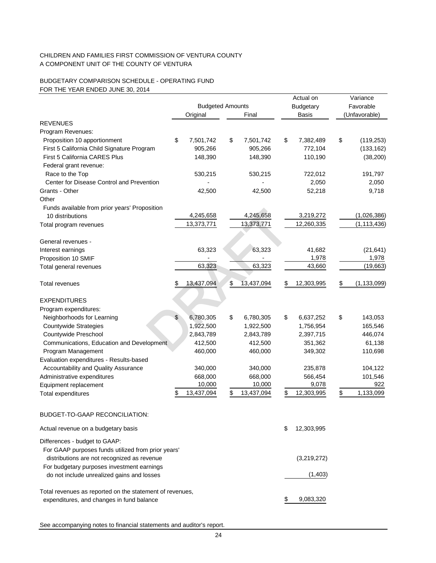#### BUDGETARY COMPARISON SCHEDULE - OPERATING FUND FOR THE YEAR ENDED JUNE 30, 2014

|                                                          |                         |                  |                  | Actual on    |           | Variance      |
|----------------------------------------------------------|-------------------------|------------------|------------------|--------------|-----------|---------------|
|                                                          | <b>Budgeted Amounts</b> |                  | <b>Budgetary</b> |              | Favorable |               |
|                                                          | Original                | Final            |                  | <b>Basis</b> |           | (Unfavorable) |
| <b>REVENUES</b>                                          |                         |                  |                  |              |           |               |
| Program Revenues:                                        |                         |                  |                  |              |           |               |
| Proposition 10 apportionment                             | \$<br>7,501,742         | \$<br>7,501,742  | \$               | 7,382,489    | \$        | (119, 253)    |
| First 5 California Child Signature Program               | 905,266                 | 905,266          |                  | 772,104      |           | (133, 162)    |
| First 5 California CARES Plus                            | 148,390                 | 148,390          |                  | 110,190      |           | (38, 200)     |
| Federal grant revenue:                                   |                         |                  |                  |              |           |               |
| Race to the Top                                          | 530,215                 | 530,215          |                  | 722,012      |           | 191,797       |
| Center for Disease Control and Prevention                |                         |                  |                  | 2,050        |           | 2,050         |
| Grants - Other                                           | 42,500                  | 42,500           |                  | 52,218       |           | 9,718         |
| Other                                                    |                         |                  |                  |              |           |               |
| Funds available from prior years' Proposition            |                         |                  |                  |              |           |               |
| 10 distributions                                         | 4,245,658               | 4,245,658        |                  | 3,219,272    |           | (1,026,386)   |
| Total program revenues                                   | 13,373,771              | 13,373,771       |                  | 12,260,335   |           | (1, 113, 436) |
|                                                          |                         |                  |                  |              |           |               |
| General revenues -                                       |                         |                  |                  |              |           |               |
| Interest earnings                                        | 63,323                  | 63,323           |                  | 41,682       |           | (21, 641)     |
| Proposition 10 SMIF                                      |                         |                  |                  | 1,978        |           | 1,978         |
| Total general revenues                                   | 63,323                  | 63,323           |                  | 43,660       |           | (19, 663)     |
|                                                          |                         |                  |                  |              |           |               |
| <b>Total revenues</b>                                    | 13,437,094              | \$<br>13,437,094 | \$               | 12,303,995   | \$        | (1, 133, 099) |
| <b>EXPENDITURES</b>                                      |                         |                  |                  |              |           |               |
| Program expenditures:                                    |                         |                  |                  |              |           |               |
| Neighborhoods for Learning                               | \$<br>6,780,305         | \$<br>6,780,305  | \$               | 6,637,252    | \$        | 143,053       |
| <b>Countywide Strategies</b>                             | 1,922,500               | 1,922,500        |                  | 1,756,954    |           | 165,546       |
| Countywide Preschool                                     |                         |                  |                  | 2,397,715    |           | 446,074       |
|                                                          | 2,843,789               | 2,843,789        |                  |              |           |               |
| Communications, Education and Development                | 412,500                 | 412,500          |                  | 351,362      |           | 61,138        |
| Program Management                                       | 460,000                 | 460,000          |                  | 349,302      |           | 110,698       |
| Evaluation expenditures - Results-based                  |                         |                  |                  |              |           |               |
| Accountability and Quality Assurance                     | 340,000                 | 340,000          |                  | 235,878      |           | 104,122       |
| Administrative expenditures                              | 668,000                 | 668,000          |                  | 566,454      |           | 101,546       |
| Equipment replacement                                    | 10,000                  | 10,000           |                  | 9,078        |           | 922           |
| Total expenditures                                       | \$<br>13,437,094        | \$<br>13,437,094 | \$               | 12,303,995   | \$        | 1,133,099     |
| BUDGET-TO-GAAP RECONCILIATION:                           |                         |                  |                  |              |           |               |
| Actual revenue on a budgetary basis                      |                         |                  | S                | 12,303,995   |           |               |
| Differences - budget to GAAP:                            |                         |                  |                  |              |           |               |
| For GAAP purposes funds utilized from prior years'       |                         |                  |                  |              |           |               |
| distributions are not recognized as revenue              |                         |                  |                  | (3,219,272)  |           |               |
| For budgetary purposes investment earnings               |                         |                  |                  |              |           |               |
| do not include unrealized gains and losses               |                         |                  |                  | (1,403)      |           |               |
| Total revenues as reported on the statement of revenues, |                         |                  |                  |              |           |               |
| expenditures, and changes in fund balance                |                         |                  |                  | 9,083,320    |           |               |
|                                                          |                         |                  |                  |              |           |               |

See accompanying notes to financial statements and auditor's report.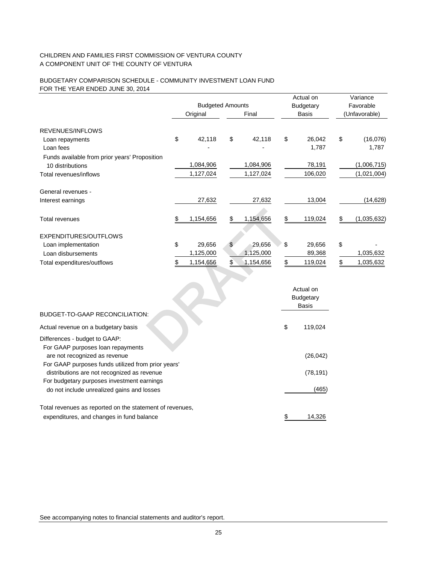#### BUDGETARY COMPARISON SCHEDULE - COMMUNITY INVESTMENT LOAN FUND FOR THE YEAR ENDED JUNE 30, 2014

|                                               |    | <b>Budgeted Amounts</b> |     |           | Actual on<br><b>Budgetary</b> | Variance<br>Favorable |
|-----------------------------------------------|----|-------------------------|-----|-----------|-------------------------------|-----------------------|
|                                               |    | Original                |     | Final     | <b>Basis</b>                  | (Unfavorable)         |
| REVENUES/INFLOWS                              |    |                         |     |           |                               |                       |
| Loan repayments                               | \$ | 42,118                  | \$  | 42,118    | \$<br>26,042                  | \$<br>(16,076)        |
| Loan fees                                     |    |                         |     |           | 1,787                         | 1,787                 |
| Funds available from prior years' Proposition |    |                         |     |           |                               |                       |
| 10 distributions                              |    | 1,084,906               |     | 1,084,906 | 78,191                        | (1,006,715)           |
| Total revenues/inflows                        |    | 1,127,024               |     | 1,127,024 | 106,020                       | (1,021,004)           |
| General revenues -                            |    |                         |     |           |                               |                       |
| Interest earnings                             |    | 27,632                  |     | 27,632    | 13,004                        | (14,628)              |
| Total revenues                                | S  | 1,154,656               | \$  | 1,154,656 | \$<br>119,024                 | \$<br>(1,035,632)     |
| EXPENDITURES/OUTFLOWS                         |    |                         |     |           |                               |                       |
| Loan implementation                           | \$ | 29,656                  | \$. | 29,656    | \$<br>29,656                  | \$                    |
| Loan disbursements                            |    | 1,125,000               |     | 1,125,000 | 89,368                        | 1,035,632             |
| Total expenditures/outflows                   |    | 1,154,656               | \$  | 1,154,656 | \$<br>119,024                 | \$<br>1,035,632       |

| <b>Total revenues</b>                                    | S  | 1,154,656           | S  | 1,154,656           | \$<br>119,024          |
|----------------------------------------------------------|----|---------------------|----|---------------------|------------------------|
| EXPENDITURES/OUTFLOWS                                    |    |                     |    |                     |                        |
| Loan implementation<br>Loan disbursements                | \$ | 29,656<br>1,125,000 |    | 29,656<br>1,125,000 | \$<br>29,656<br>89,368 |
| Total expenditures/outflows                              | \$ | 1,154,656           | \$ | 1,154,656           | \$<br>119,024          |
|                                                          |    |                     |    |                     |                        |
|                                                          |    |                     |    |                     | Actual on              |
|                                                          |    |                     |    |                     | <b>Budgetary</b>       |
|                                                          |    |                     |    |                     | <b>Basis</b>           |
| <b>BUDGET-TO-GAAP RECONCILIATION:</b>                    |    |                     |    |                     |                        |
| Actual revenue on a budgetary basis                      |    |                     |    |                     | \$<br>119,024          |
| Differences - budget to GAAP:                            |    |                     |    |                     |                        |
| For GAAP purposes loan repayments                        |    |                     |    |                     |                        |
| are not recognized as revenue                            |    |                     |    |                     | (26, 042)              |
| For GAAP purposes funds utilized from prior years'       |    |                     |    |                     |                        |
| distributions are not recognized as revenue              |    |                     |    |                     | (78, 191)              |
| For budgetary purposes investment earnings               |    |                     |    |                     |                        |
| do not include unrealized gains and losses               |    |                     |    |                     | (465)                  |
| Total revenues as reported on the statement of revenues, |    |                     |    |                     |                        |
| expenditures, and changes in fund balance                |    |                     |    |                     | \$<br>14,326           |

See accompanying notes to financial statements and auditor's report.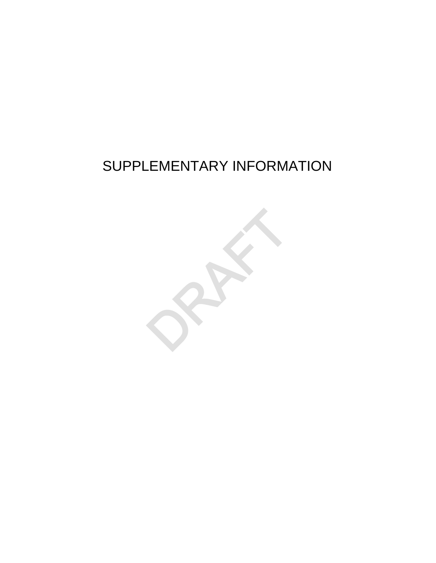# SUPPLEMENTARY INFORMATION

RAFTER ST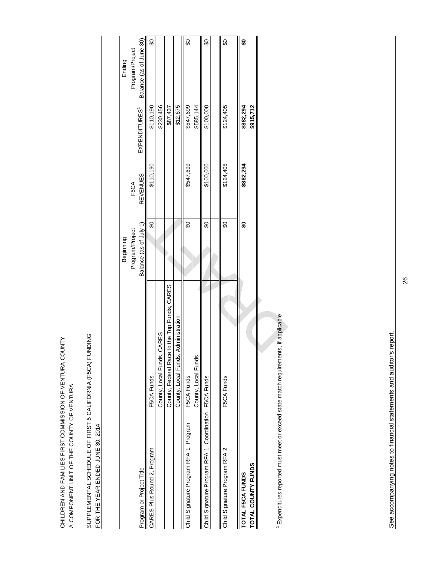CHILDREN AND FAMILIES FIRST COMMISSION OF VENTURA COUNTY<br>A COMPONENT UNIT OF THE COUNTY OF VENTURA CHILDREN AND FAMILIES FIRST COMMISSION OF VENTURA COUNTY A COMPONENT UNIT OF THE COUNTY OF VENTURA

SUPPLEMENTAL SCHEDULE OF FIRST 5 CALIFORNIA (F5CA) FUNDING SUPPLEMENTAL SCHEDULE OF FIRST 5 CALIFORNIA (F5CA) FUNDING FOR THE YEAR ENDED JUNE 30, 2014 FOR THE YEAR ENDED JUNE 30, 2014

|                                                                     |                                                 | Program/Project<br>Beginning | <b>F5CA</b>     |                        | Program/Project<br>Ending |
|---------------------------------------------------------------------|-------------------------------------------------|------------------------------|-----------------|------------------------|---------------------------|
| Program or Project Title                                            |                                                 | Balance (as of July 1)       | <b>REVENUES</b> | EXPENDITURES           | Balance (as of June 30)   |
| CARES Plus Round 2, Program                                         | F5CA Funds                                      | S                            | \$110,190       | \$110,190              | S                         |
|                                                                     | CARES<br>County, Local Funds,                   |                              |                 | \$230,456              |                           |
|                                                                     | to the Top Funds, CARES<br>County, Federal Race |                              |                 | \$87,437               |                           |
|                                                                     | Administration<br>County, Local Funds,          |                              |                 | \$12,675               |                           |
| Child Signature Program RFA 1, Program                              | F5CA Funds                                      | င္တ                          | \$547,699       | \$547,699              | င္တ                       |
|                                                                     | County, Local Funds                             |                              |                 | \$585,144              |                           |
| Child Signature Program RFA 1, Coordination F5CA Funds              |                                                 | S                            | \$100,000       | \$100,000              | S                         |
|                                                                     |                                                 |                              |                 |                        |                           |
| Child Signature Program RFA 2                                       | F5CA Funds                                      | င္တ                          | \$124,405       | \$124,405              | င္တ                       |
|                                                                     |                                                 |                              |                 |                        |                           |
| TOTAL COUNTY FUNDS<br><b>TOTAL F5CA FUNDS</b>                       |                                                 | ន្ល                          | \$882,294       | \$882,294<br>\$915,712 | ິສ                        |
| Expenditures reported must meet or exceed state match requirements, | if applicable                                   |                              |                 |                        |                           |

See accompanying notes to financial statements and auditor's report. See accompanying notes to financial statements and auditor's report.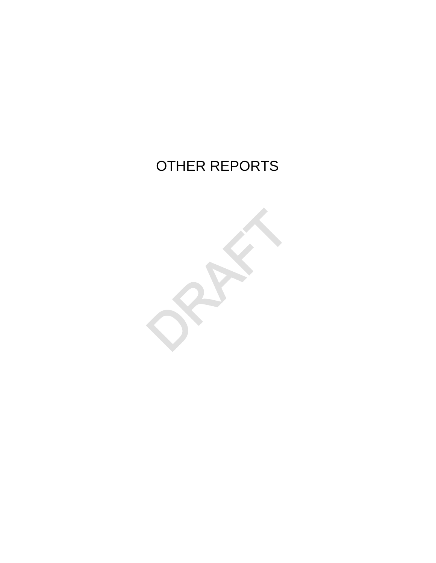# OTHER REPORTS

RAFTER ST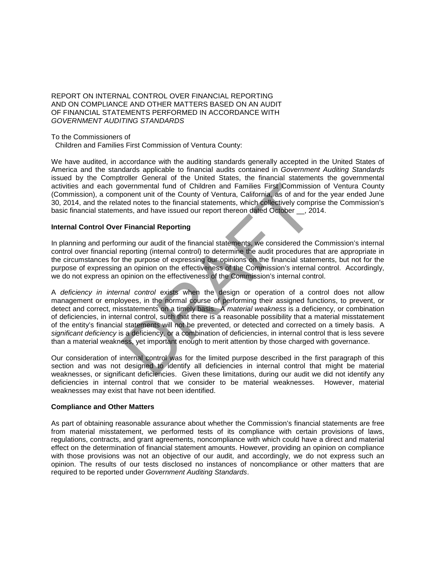#### REPORT ON INTERNAL CONTROL OVER FINANCIAL REPORTING AND ON COMPLIANCE AND OTHER MATTERS BASED ON AN AUDIT OF FINANCIAL STATEMENTS PERFORMED IN ACCORDANCE WITH *GOVERNMENT AUDITING STANDARDS*

#### To the Commissioners of

Children and Families First Commission of Ventura County:

We have audited, in accordance with the auditing standards generally accepted in the United States of America and the standards applicable to financial audits contained in *Government Auditing Standards* issued by the Comptroller General of the United States, the financial statements the governmental activities and each governmental fund of Children and Families First Commission of Ventura County (Commission), a component unit of the County of Ventura, California, as of and for the year ended June 30, 2014, and the related notes to the financial statements, which collectively comprise the Commission's basic financial statements, and have issued our report thereon dated October \_\_, 2014.

#### **Internal Control Over Financial Reporting**

In planning and performing our audit of the financial statements, we considered the Commission's internal control over financial reporting (internal control) to determine the audit procedures that are appropriate in the circumstances for the purpose of expressing our opinions on the financial statements, but not for the purpose of expressing an opinion on the effectiveness of the Commission's internal control. Accordingly, we do not express an opinion on the effectiveness of the Commission's internal control.

A *deficiency in internal control* exists when the design or operation of a control does not allow management or employees, in the normal course of performing their assigned functions, to prevent, or detect and correct, misstatements on a timely basis. A *material weakness* is a deficiency, or combination of deficiencies, in internal control, such that there is a reasonable possibility that a material misstatement of the entity's financial statements will not be prevented, or detected and corrected on a timely basis. A *significant deficiency* is a deficiency, or a combination of deficiencies, in internal control that is less severe than a material weakness, yet important enough to merit attention by those charged with governance. overnmental fund of Children and Families First Commission<br>conent unit of the County of Ventura, California, as of and for<br>ted notes to the financial statements, which collectively compints, and have issued our report ther

Our consideration of internal control was for the limited purpose described in the first paragraph of this section and was not designed to identify all deficiencies in internal control that might be material weaknesses, or significant deficiencies. Given these limitations, during our audit we did not identify any deficiencies in internal control that we consider to be material weaknesses. However, material weaknesses may exist that have not been identified.

#### **Compliance and Other Matters**

As part of obtaining reasonable assurance about whether the Commission's financial statements are free from material misstatement, we performed tests of its compliance with certain provisions of laws, regulations, contracts, and grant agreements, noncompliance with which could have a direct and material effect on the determination of financial statement amounts. However, providing an opinion on compliance with those provisions was not an objective of our audit, and accordingly, we do not express such an opinion. The results of our tests disclosed no instances of noncompliance or other matters that are required to be reported under *Government Auditing Standards*.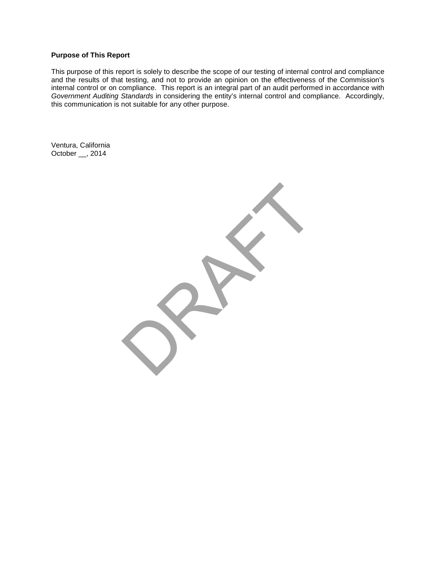#### **Purpose of This Report**

This purpose of this report is solely to describe the scope of our testing of internal control and compliance and the results of that testing, and not to provide an opinion on the effectiveness of the Commission's internal control or on compliance. This report is an integral part of an audit performed in accordance with *Government Auditing Standards* in considering the entity's internal control and compliance. Accordingly, this communication is not suitable for any other purpose.

Ventura, California October \_\_, 2014

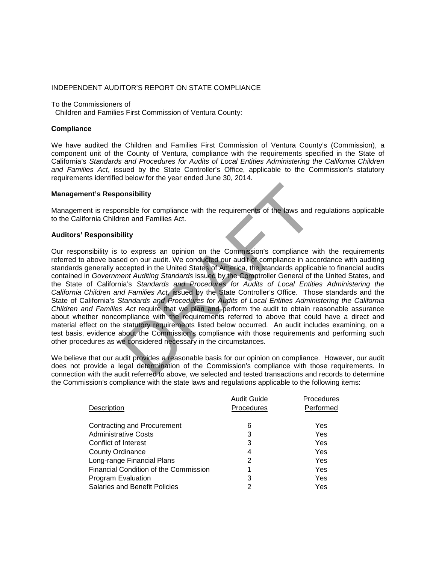#### INDEPENDENT AUDITOR'S REPORT ON STATE COMPLIANCE

To the Commissioners of

Children and Families First Commission of Ventura County:

#### **Compliance**

We have audited the Children and Families First Commission of Ventura County's (Commission), a component unit of the County of Ventura, compliance with the requirements specified in the State of California's *Standards and Procedures for Audits of Local Entities Administering the California Children and Families Act*, issued by the State Controller's Office, applicable to the Commission's statutory requirements identified below for the year ended June 30, 2014.

#### **Management's Responsibility**

Management is responsible for compliance with the requirements of the laws and regulations applicable to the California Children and Families Act.

#### **Auditors' Responsibility**

Our responsibility is to express an opinion on the Commission's compliance with the requirements referred to above based on our audit. We conducted our audit of compliance in accordance with auditing standards generally accepted in the United States of America, the standards applicable to financial audits contained in *Government Auditing Standards* issued by the Comptroller General of the United States, and the State of California's *Standards and Procedures for Audits of Local Entities Administering the California Children and Families Act*, issued by the State Controller's Office. Those standards and the State of California's *Standards and Procedures for Audits of Local Entities Administering the California Children and Families Act* require that we plan and perform the audit to obtain reasonable assurance about whether noncompliance with the requirements referred to above that could have a direct and material effect on the statutory requirements listed below occurred. An audit includes examining, on a test basis, evidence about the Commission's compliance with those requirements and performing such other procedures as we considered necessary in the circumstances. **onsibility**<br>
msible for compliance with the requirements of the laws and<br>
en and Families Act.<br> **ility**<br>
to express an opinion on the Commission's compliance v<br>
ed on our audit. We conducted our audit of compliance in acc

We believe that our audit provides a reasonable basis for our opinion on compliance. However, our audit does not provide a legal determination of the Commission's compliance with those requirements. In connection with the audit referred to above, we selected and tested transactions and records to determine the Commission's compliance with the state laws and regulations applicable to the following items:

| Description                                  | <b>Audit Guide</b><br>Procedures | Procedures<br>Performed |
|----------------------------------------------|----------------------------------|-------------------------|
| <b>Contracting and Procurement</b>           | 6                                | Yes                     |
| <b>Administrative Costs</b>                  | 3                                | Yes                     |
| Conflict of Interest                         | 3                                | Yes                     |
| <b>County Ordinance</b>                      | 4                                | Yes                     |
| Long-range Financial Plans                   | 2                                | Yes                     |
| <b>Financial Condition of the Commission</b> | 1                                | Yes                     |
| Program Evaluation                           | 3                                | Yes                     |
| <b>Salaries and Benefit Policies</b>         | 2                                | Yes                     |
|                                              |                                  |                         |